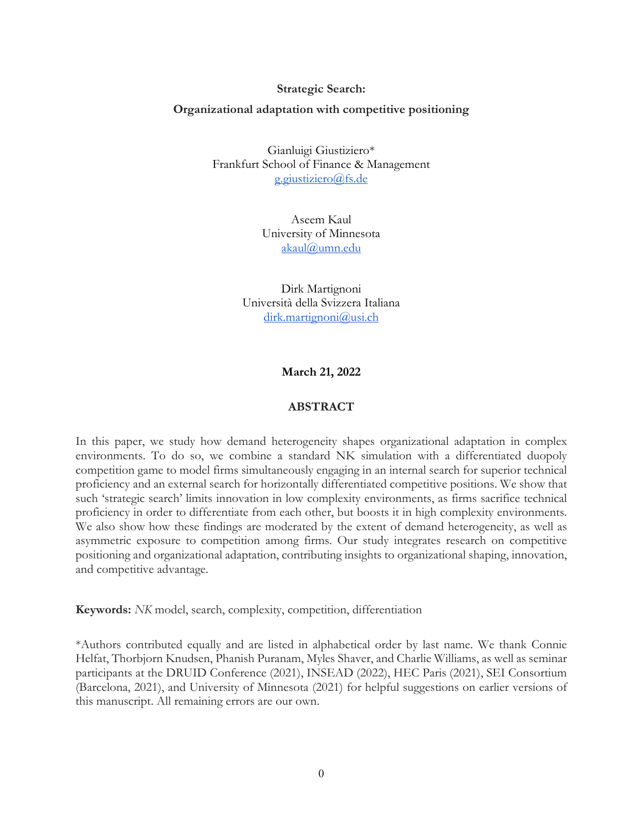## **Strategic Search:**

## **Organizational adaptation with competitive positioning**

Gianluigi Giustiziero\* Frankfurt School of Finance & Management [g.giustiziero@fs.de](mailto:g.giustiziero@fs.de)

> Aseem Kaul University of Minnesota [akaul@umn.edu](mailto:akaul@umn.edu)

Dirk Martignoni Università della Svizzera Italiana [dirk.martignoni@usi.ch](mailto:dirk.martignoni@usi.ch)

**March 21, 2022**

## **ABSTRACT**

In this paper, we study how demand heterogeneity shapes organizational adaptation in complex environments. To do so, we combine a standard NK simulation with a differentiated duopoly competition game to model firms simultaneously engaging in an internal search for superior technical proficiency and an external search for horizontally differentiated competitive positions. We show that such 'strategic search' limits innovation in low complexity environments, as firms sacrifice technical proficiency in order to differentiate from each other, but boosts it in high complexity environments. We also show how these findings are moderated by the extent of demand heterogeneity, as well as asymmetric exposure to competition among firms. Our study integrates research on competitive positioning and organizational adaptation, contributing insights to organizational shaping, innovation, and competitive advantage.

**Keywords:** *NK* model, search, complexity, competition, differentiation

\*Authors contributed equally and are listed in alphabetical order by last name. We thank Connie Helfat, Thorbjorn Knudsen, Phanish Puranam, Myles Shaver, and Charlie Williams, as well as seminar participants at the DRUID Conference (2021), INSEAD (2022), HEC Paris (2021), SEI Consortium (Barcelona, 2021), and University of Minnesota (2021) for helpful suggestions on earlier versions of this manuscript. All remaining errors are our own.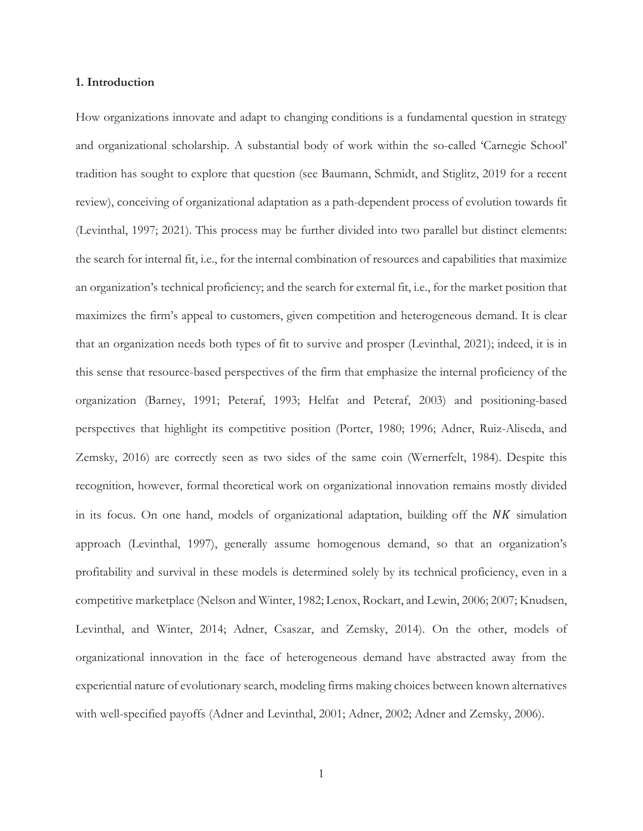#### **1. Introduction**

How organizations innovate and adapt to changing conditions is a fundamental question in strategy and organizational scholarship. A substantial body of work within the so-called 'Carnegie School' tradition has sought to explore that question (see Baumann, Schmidt, and Stiglitz, 2019 for a recent review), conceiving of organizational adaptation as a path-dependent process of evolution towards fit (Levinthal, 1997; 2021). This process may be further divided into two parallel but distinct elements: the search for internal fit, i.e., for the internal combination of resources and capabilities that maximize an organization's technical proficiency; and the search for external fit, i.e., for the market position that maximizes the firm's appeal to customers, given competition and heterogeneous demand. It is clear that an organization needs both types of fit to survive and prosper (Levinthal, 2021); indeed, it is in this sense that resource-based perspectives of the firm that emphasize the internal proficiency of the organization (Barney, 1991; Peteraf, 1993; Helfat and Peteraf, 2003) and positioning-based perspectives that highlight its competitive position (Porter, 1980; 1996; Adner, Ruiz-Aliseda, and Zemsky, 2016) are correctly seen as two sides of the same coin (Wernerfelt, 1984). Despite this recognition, however, formal theoretical work on organizational innovation remains mostly divided in its focus. On one hand, models of organizational adaptation, building off the  $NK$  simulation approach (Levinthal, 1997), generally assume homogenous demand, so that an organization's profitability and survival in these models is determined solely by its technical proficiency, even in a competitive marketplace (Nelson and Winter, 1982; Lenox, Rockart, and Lewin, 2006; 2007; Knudsen, Levinthal, and Winter, 2014; Adner, Csaszar, and Zemsky, 2014). On the other, models of organizational innovation in the face of heterogeneous demand have abstracted away from the experiential nature of evolutionary search, modeling firms making choices between known alternatives with well-specified payoffs (Adner and Levinthal, 2001; Adner, 2002; Adner and Zemsky, 2006).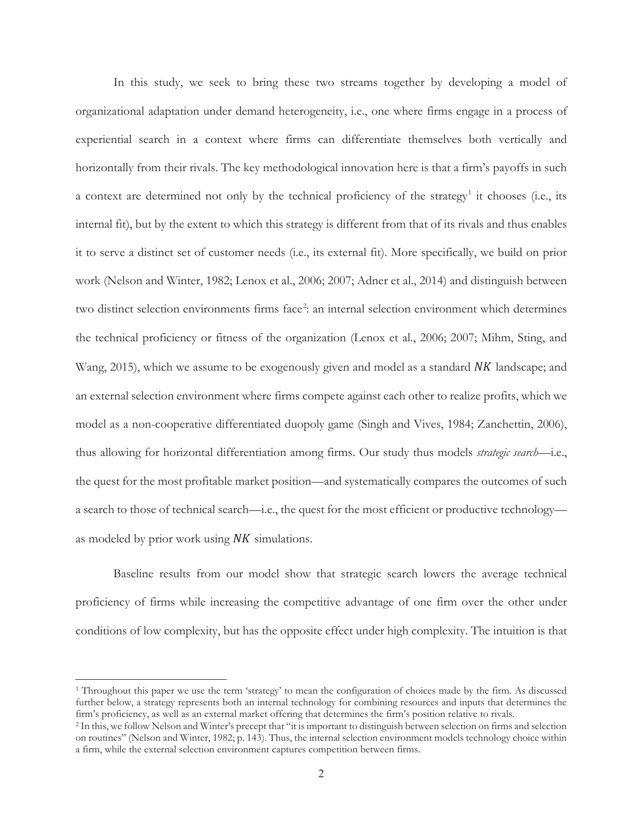In this study, we seek to bring these two streams together by developing a model of organizational adaptation under demand heterogeneity, i.e., one where firms engage in a process of experiential search in a context where firms can differentiate themselves both vertically and horizontally from their rivals. The key methodological innovation here is that a firm's payoffs in such a context are determined not only by the technical proficiency of the strategy<sup>[1](#page-2-0)</sup> it chooses (i.e., its internal fit), but by the extent to which this strategy is different from that of its rivals and thus enables it to serve a distinct set of customer needs (i.e., its external fit). More specifically, we build on prior work (Nelson and Winter, 1982; Lenox et al., 2006; 2007; Adner et al., 2014) and distinguish between two distinct selection environments firms face<sup>[2](#page-2-1)</sup>: an internal selection environment which determines the technical proficiency or fitness of the organization (Lenox et al., 2006; 2007; Mihm, Sting, and Wang, 2015), which we assume to be exogenously given and model as a standard  $NK$  landscape; and an external selection environment where firms compete against each other to realize profits, which we model as a non-cooperative differentiated duopoly game (Singh and Vives, 1984; Zanchettin, 2006), thus allowing for horizontal differentiation among firms. Our study thus models *strategic search*—i.e., the quest for the most profitable market position—and systematically compares the outcomes of such a search to those of technical search—i.e., the quest for the most efficient or productive technology as modeled by prior work using  $NK$  simulations.

 Baseline results from our model show that strategic search lowers the average technical proficiency of firms while increasing the competitive advantage of one firm over the other under conditions of low complexity, but has the opposite effect under high complexity. The intuition is that

<span id="page-2-0"></span><sup>&</sup>lt;sup>1</sup> Throughout this paper we use the term 'strategy' to mean the configuration of choices made by the firm. As discussed further below, a strategy represents both an internal technology for combining resources and inputs that determines the firm's proficiency, as well as an external market offering that determines the firm's position relative to rivals.<br><sup>2</sup> In this, we follow Nelson and Winter's precept that "it is important to distinguish between selection o

<span id="page-2-1"></span>on routines" (Nelson and Winter, 1982; p. 143). Thus, the internal selection environment models technology choice within a firm, while the external selection environment captures competition between firms.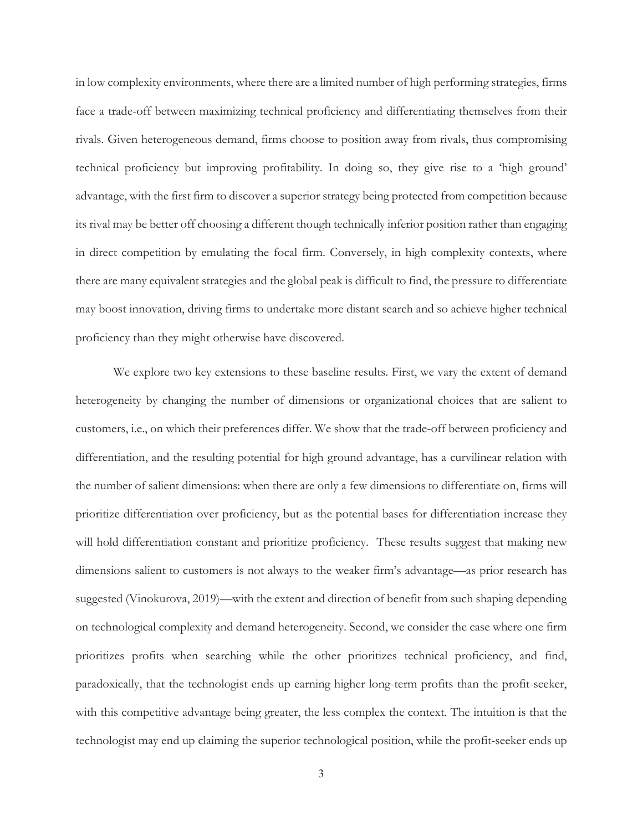in low complexity environments, where there are a limited number of high performing strategies, firms face a trade-off between maximizing technical proficiency and differentiating themselves from their rivals. Given heterogeneous demand, firms choose to position away from rivals, thus compromising technical proficiency but improving profitability. In doing so, they give rise to a 'high ground' advantage, with the first firm to discover a superior strategy being protected from competition because its rival may be better off choosing a different though technically inferior position rather than engaging in direct competition by emulating the focal firm. Conversely, in high complexity contexts, where there are many equivalent strategies and the global peak is difficult to find, the pressure to differentiate may boost innovation, driving firms to undertake more distant search and so achieve higher technical proficiency than they might otherwise have discovered.

We explore two key extensions to these baseline results. First, we vary the extent of demand heterogeneity by changing the number of dimensions or organizational choices that are salient to customers, i.e., on which their preferences differ. We show that the trade-off between proficiency and differentiation, and the resulting potential for high ground advantage, has a curvilinear relation with the number of salient dimensions: when there are only a few dimensions to differentiate on, firms will prioritize differentiation over proficiency, but as the potential bases for differentiation increase they will hold differentiation constant and prioritize proficiency. These results suggest that making new dimensions salient to customers is not always to the weaker firm's advantage—as prior research has suggested (Vinokurova, 2019)—with the extent and direction of benefit from such shaping depending on technological complexity and demand heterogeneity. Second, we consider the case where one firm prioritizes profits when searching while the other prioritizes technical proficiency, and find, paradoxically, that the technologist ends up earning higher long-term profits than the profit-seeker, with this competitive advantage being greater, the less complex the context. The intuition is that the technologist may end up claiming the superior technological position, while the profit-seeker ends up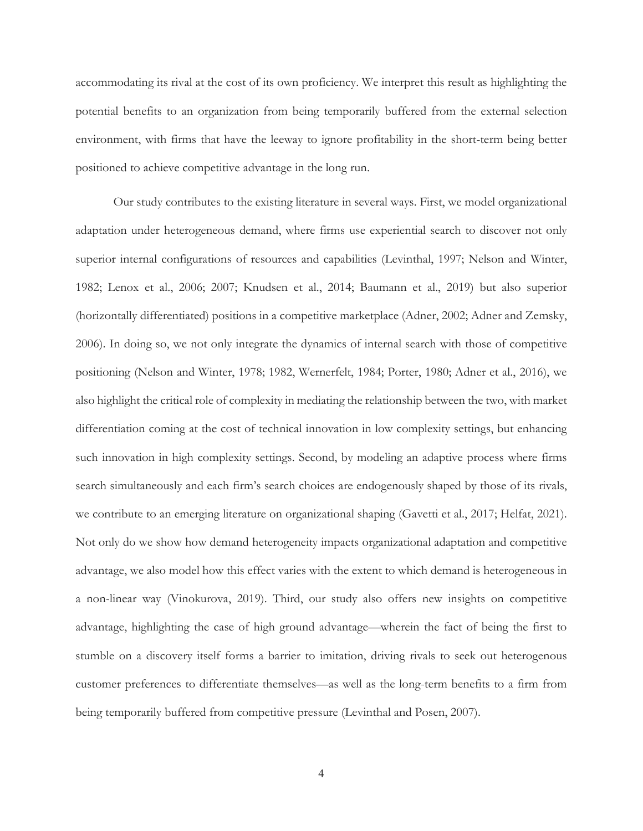accommodating its rival at the cost of its own proficiency. We interpret this result as highlighting the potential benefits to an organization from being temporarily buffered from the external selection environment, with firms that have the leeway to ignore profitability in the short-term being better positioned to achieve competitive advantage in the long run.

Our study contributes to the existing literature in several ways. First, we model organizational adaptation under heterogeneous demand, where firms use experiential search to discover not only superior internal configurations of resources and capabilities (Levinthal, 1997; Nelson and Winter, 1982; Lenox et al., 2006; 2007; Knudsen et al., 2014; Baumann et al., 2019) but also superior (horizontally differentiated) positions in a competitive marketplace (Adner, 2002; Adner and Zemsky, 2006). In doing so, we not only integrate the dynamics of internal search with those of competitive positioning (Nelson and Winter, 1978; 1982, Wernerfelt, 1984; Porter, 1980; Adner et al., 2016), we also highlight the critical role of complexity in mediating the relationship between the two, with market differentiation coming at the cost of technical innovation in low complexity settings, but enhancing such innovation in high complexity settings. Second, by modeling an adaptive process where firms search simultaneously and each firm's search choices are endogenously shaped by those of its rivals, we contribute to an emerging literature on organizational shaping (Gavetti et al., 2017; Helfat, 2021). Not only do we show how demand heterogeneity impacts organizational adaptation and competitive advantage, we also model how this effect varies with the extent to which demand is heterogeneous in a non-linear way (Vinokurova, 2019). Third, our study also offers new insights on competitive advantage, highlighting the case of high ground advantage—wherein the fact of being the first to stumble on a discovery itself forms a barrier to imitation, driving rivals to seek out heterogenous customer preferences to differentiate themselves—as well as the long-term benefits to a firm from being temporarily buffered from competitive pressure (Levinthal and Posen, 2007).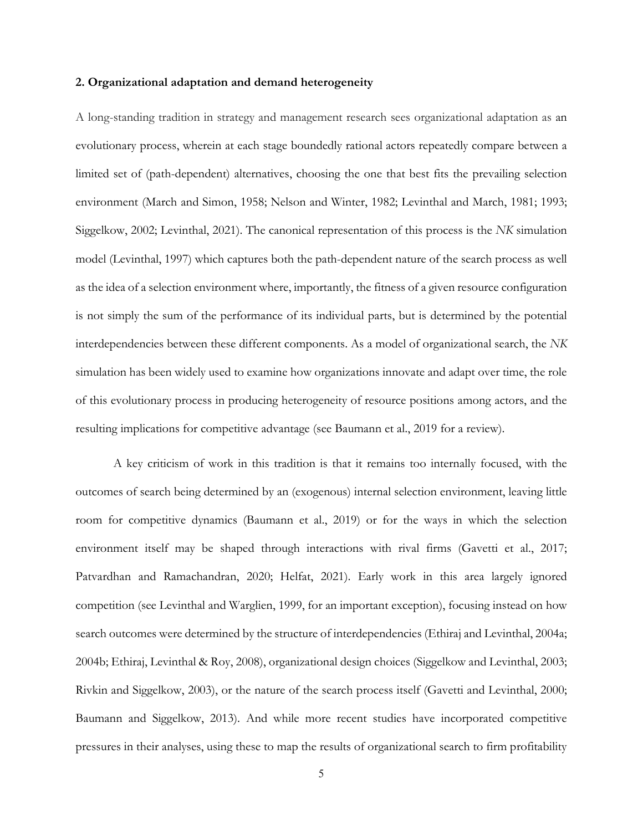#### **2. Organizational adaptation and demand heterogeneity**

A long-standing tradition in strategy and management research sees organizational adaptation as an evolutionary process, wherein at each stage boundedly rational actors repeatedly compare between a limited set of (path-dependent) alternatives, choosing the one that best fits the prevailing selection environment (March and Simon, 1958; Nelson and Winter, 1982; Levinthal and March, 1981; 1993; Siggelkow, 2002; Levinthal, 2021). The canonical representation of this process is the *NK* simulation model (Levinthal, 1997) which captures both the path-dependent nature of the search process as well as the idea of a selection environment where, importantly, the fitness of a given resource configuration is not simply the sum of the performance of its individual parts, but is determined by the potential interdependencies between these different components. As a model of organizational search, the *NK* simulation has been widely used to examine how organizations innovate and adapt over time, the role of this evolutionary process in producing heterogeneity of resource positions among actors, and the resulting implications for competitive advantage (see Baumann et al., 2019 for a review).

A key criticism of work in this tradition is that it remains too internally focused, with the outcomes of search being determined by an (exogenous) internal selection environment, leaving little room for competitive dynamics (Baumann et al., 2019) or for the ways in which the selection environment itself may be shaped through interactions with rival firms (Gavetti et al., 2017; Patvardhan and Ramachandran, 2020; Helfat, 2021). Early work in this area largely ignored competition (see Levinthal and Warglien, 1999, for an important exception), focusing instead on how search outcomes were determined by the structure of interdependencies (Ethiraj and Levinthal, 2004a; 2004b; Ethiraj, Levinthal & Roy, 2008), organizational design choices (Siggelkow and Levinthal, 2003; Rivkin and Siggelkow, 2003), or the nature of the search process itself (Gavetti and Levinthal, 2000; Baumann and Siggelkow, 2013). And while more recent studies have incorporated competitive pressures in their analyses, using these to map the results of organizational search to firm profitability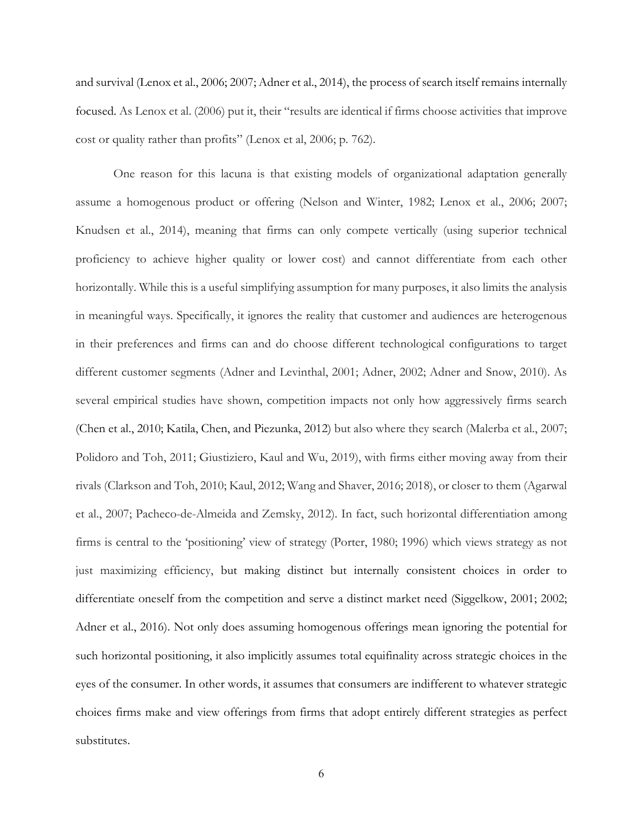and survival (Lenox et al., 2006; 2007; Adner et al., 2014), the process of search itself remains internally focused. As Lenox et al. (2006) put it, their "results are identical if firms choose activities that improve cost or quality rather than profits" (Lenox et al, 2006; p. 762).

One reason for this lacuna is that existing models of organizational adaptation generally assume a homogenous product or offering (Nelson and Winter, 1982; Lenox et al., 2006; 2007; Knudsen et al., 2014), meaning that firms can only compete vertically (using superior technical proficiency to achieve higher quality or lower cost) and cannot differentiate from each other horizontally. While this is a useful simplifying assumption for many purposes, it also limits the analysis in meaningful ways. Specifically, it ignores the reality that customer and audiences are heterogenous in their preferences and firms can and do choose different technological configurations to target different customer segments (Adner and Levinthal, 2001; Adner, 2002; Adner and Snow, 2010). As several empirical studies have shown, competition impacts not only how aggressively firms search (Chen et al., 2010; Katila, Chen, and Piezunka, 2012) but also where they search (Malerba et al., 2007; Polidoro and Toh, 2011; Giustiziero, Kaul and Wu, 2019), with firms either moving away from their rivals (Clarkson and Toh, 2010; Kaul, 2012; Wang and Shaver, 2016; 2018), or closer to them (Agarwal et al., 2007; Pacheco-de-Almeida and Zemsky, 2012). In fact, such horizontal differentiation among firms is central to the 'positioning' view of strategy (Porter, 1980; 1996) which views strategy as not just maximizing efficiency, but making distinct but internally consistent choices in order to differentiate oneself from the competition and serve a distinct market need (Siggelkow, 2001; 2002; Adner et al., 2016). Not only does assuming homogenous offerings mean ignoring the potential for such horizontal positioning, it also implicitly assumes total equifinality across strategic choices in the eyes of the consumer. In other words, it assumes that consumers are indifferent to whatever strategic choices firms make and view offerings from firms that adopt entirely different strategies as perfect substitutes.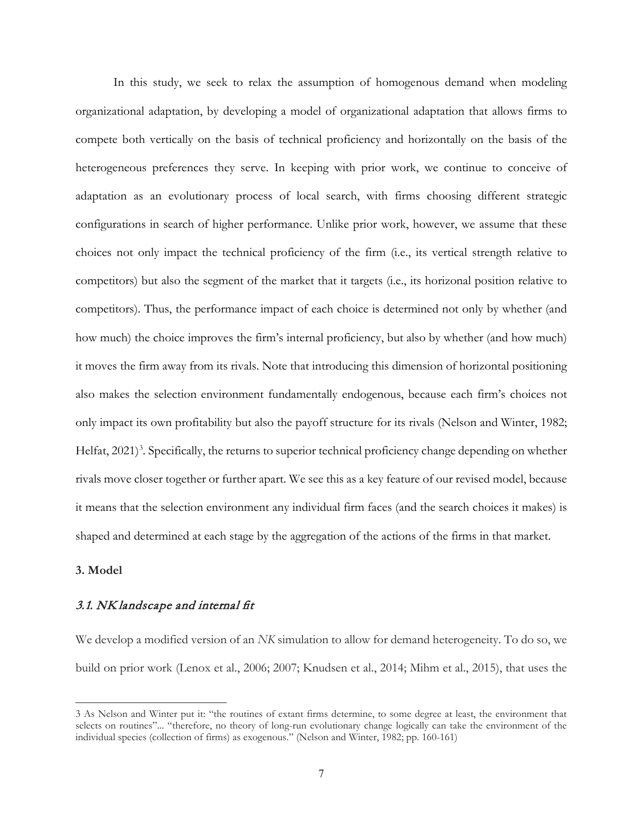In this study, we seek to relax the assumption of homogenous demand when modeling organizational adaptation, by developing a model of organizational adaptation that allows firms to compete both vertically on the basis of technical proficiency and horizontally on the basis of the heterogeneous preferences they serve. In keeping with prior work, we continue to conceive of adaptation as an evolutionary process of local search, with firms choosing different strategic configurations in search of higher performance. Unlike prior work, however, we assume that these choices not only impact the technical proficiency of the firm (i.e., its vertical strength relative to competitors) but also the segment of the market that it targets (i.e., its horizonal position relative to competitors). Thus, the performance impact of each choice is determined not only by whether (and how much) the choice improves the firm's internal proficiency, but also by whether (and how much) it moves the firm away from its rivals. Note that introducing this dimension of horizontal positioning also makes the selection environment fundamentally endogenous, because each firm's choices not only impact its own profitability but also the payoff structure for its rivals (Nelson and Winter, 1982; Helfat, 2021)<sup>[3](#page-7-0)</sup>. Specifically, the returns to superior technical proficiency change depending on whether rivals move closer together or further apart. We see this as a key feature of our revised model, because it means that the selection environment any individual firm faces (and the search choices it makes) is shaped and determined at each stage by the aggregation of the actions of the firms in that market.

## **3. Model**

## 3.1. NK landscape and internal fit

We develop a modified version of an *NK* simulation to allow for demand heterogeneity. To do so, we build on prior work (Lenox et al., 2006; 2007; Knudsen et al., 2014; Mihm et al., 2015), that uses the

<span id="page-7-0"></span><sup>3</sup> As Nelson and Winter put it: "the routines of extant firms determine, to some degree at least, the environment that selects on routines"... "therefore, no theory of long-run evolutionary change logically can take the environment of the individual species (collection of firms) as exogenous." (Nelson and Winter, 1982; pp. 160-161)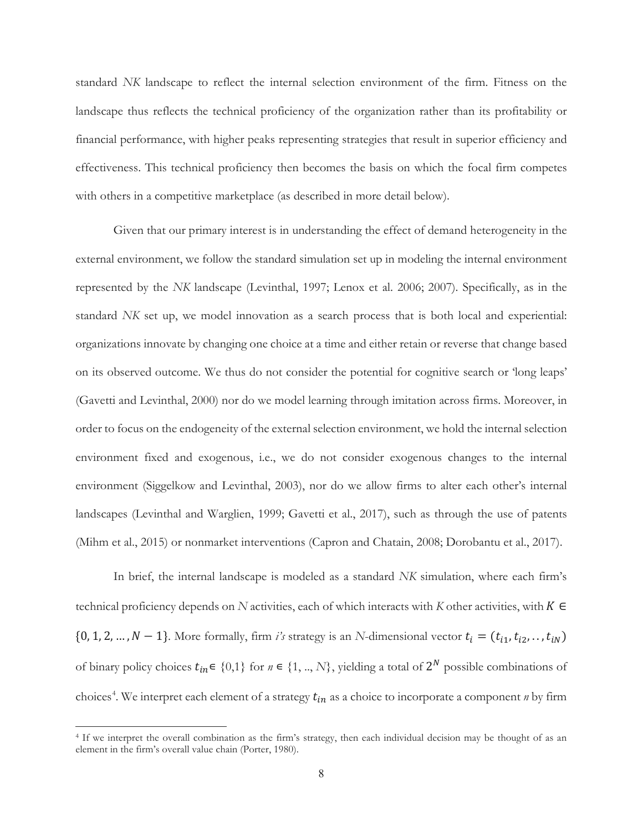standard *NK* landscape to reflect the internal selection environment of the firm. Fitness on the landscape thus reflects the technical proficiency of the organization rather than its profitability or financial performance, with higher peaks representing strategies that result in superior efficiency and effectiveness. This technical proficiency then becomes the basis on which the focal firm competes with others in a competitive marketplace (as described in more detail below).

Given that our primary interest is in understanding the effect of demand heterogeneity in the external environment, we follow the standard simulation set up in modeling the internal environment represented by the *NK* landscape (Levinthal, 1997; Lenox et al. 2006; 2007). Specifically, as in the standard *NK* set up, we model innovation as a search process that is both local and experiential: organizations innovate by changing one choice at a time and either retain or reverse that change based on its observed outcome. We thus do not consider the potential for cognitive search or 'long leaps' (Gavetti and Levinthal, 2000) nor do we model learning through imitation across firms. Moreover, in order to focus on the endogeneity of the external selection environment, we hold the internal selection environment fixed and exogenous, i.e., we do not consider exogenous changes to the internal environment (Siggelkow and Levinthal, 2003), nor do we allow firms to alter each other's internal landscapes (Levinthal and Warglien, 1999; Gavetti et al., 2017), such as through the use of patents (Mihm et al., 2015) or nonmarket interventions (Capron and Chatain, 2008; Dorobantu et al., 2017).

In brief, the internal landscape is modeled as a standard *NK* simulation, where each firm's technical proficiency depends on *N* activities, each of which interacts with *K* other activities, with  $K \in$  ${0, 1, 2, ..., N-1}$ . More formally, firm *i's* strategy is an *N*-dimensional vector  $t_i = (t_{i1}, t_{i2},..., t_{iN})$ of binary policy choices  $t_{in} \in \{0,1\}$  for  $n \in \{1,..,N\}$ , yielding a total of  $2^N$  possible combinations of choices<sup>[4](#page-8-0)</sup>. We interpret each element of a strategy  $t_{in}$  as a choice to incorporate a component *n* by firm

<span id="page-8-0"></span><sup>&</sup>lt;sup>4</sup> If we interpret the overall combination as the firm's strategy, then each individual decision may be thought of as an element in the firm's overall value chain (Porter, 1980).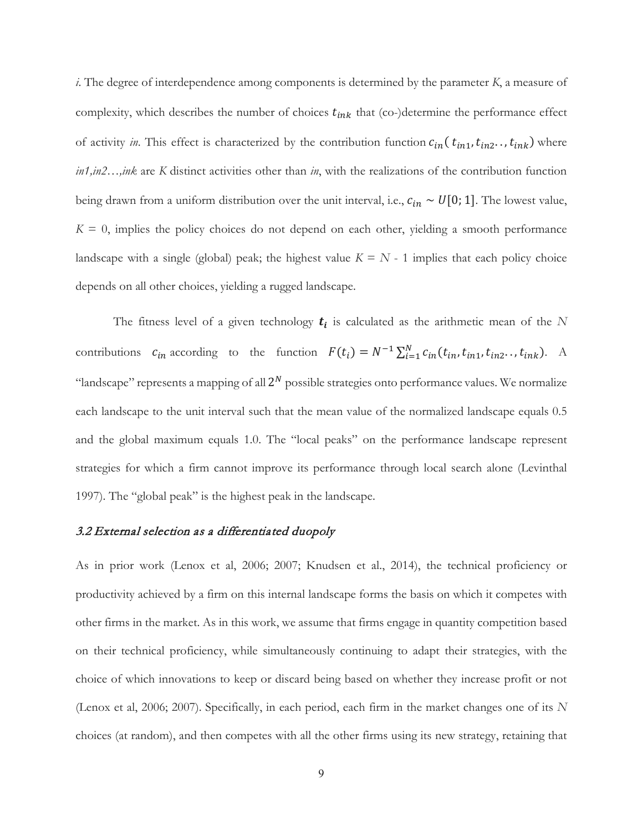*i*. The degree of interdependence among components is determined by the parameter *K*, a measure of complexity, which describes the number of choices  $t_{ink}$  that (co-)determine the performance effect of activity *in*. This effect is characterized by the contribution function  $c_{in}$  ( $t_{in1}$ ,  $t_{in2}$ ...,  $t_{ink}$ ) where *in1,in2…,ink* are *K* distinct activities other than *in*, with the realizations of the contribution function being drawn from a uniform distribution over the unit interval, i.e.,  $c_{in} \sim U[0, 1]$ . The lowest value,  $K = 0$ , implies the policy choices do not depend on each other, yielding a smooth performance landscape with a single (global) peak; the highest value  $K = N - 1$  implies that each policy choice depends on all other choices, yielding a rugged landscape.

The fitness level of a given technology  $t_i$  is calculated as the arithmetic mean of the  $N$ contributions  $c_{in}$  according to the function  $F(t_i) = N^{-1} \sum_{i=1}^{N} c_{in} (t_{in}, t_{in1}, t_{in2}, t_{ink})$ . A "landscape" represents a mapping of all  $2^N$  possible strategies onto performance values. We normalize each landscape to the unit interval such that the mean value of the normalized landscape equals 0.5 and the global maximum equals 1.0. The "local peaks" on the performance landscape represent strategies for which a firm cannot improve its performance through local search alone (Levinthal 1997). The "global peak" is the highest peak in the landscape.

### 3.2 External selection as a differentiated duopoly

As in prior work (Lenox et al, 2006; 2007; Knudsen et al., 2014), the technical proficiency or productivity achieved by a firm on this internal landscape forms the basis on which it competes with other firms in the market. As in this work, we assume that firms engage in quantity competition based on their technical proficiency, while simultaneously continuing to adapt their strategies, with the choice of which innovations to keep or discard being based on whether they increase profit or not (Lenox et al, 2006; 2007). Specifically, in each period, each firm in the market changes one of its *N*  choices (at random), and then competes with all the other firms using its new strategy, retaining that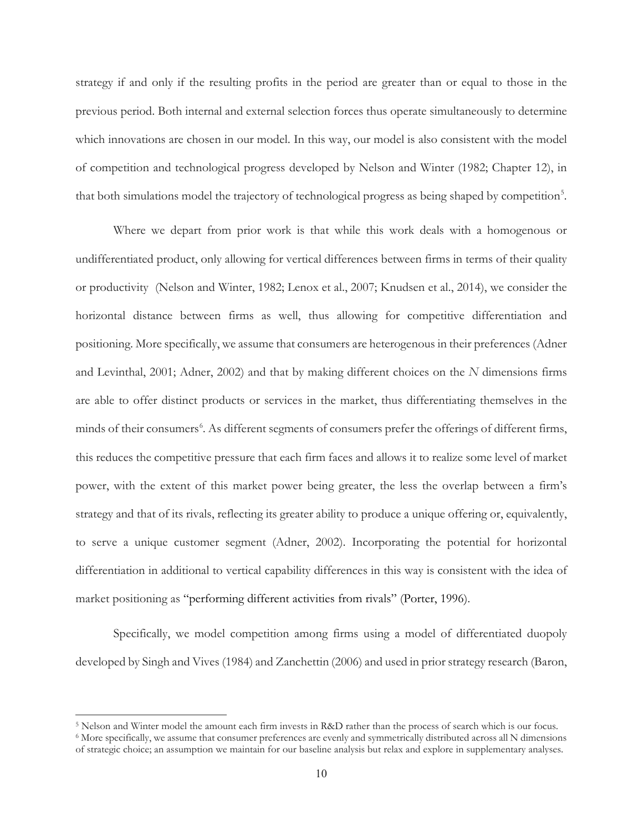strategy if and only if the resulting profits in the period are greater than or equal to those in the previous period. Both internal and external selection forces thus operate simultaneously to determine which innovations are chosen in our model. In this way, our model is also consistent with the model of competition and technological progress developed by Nelson and Winter (1982; Chapter 12), in that both simulations model the trajectory of technological progress as being shaped by competition<sup>[5](#page-10-0)</sup>.

Where we depart from prior work is that while this work deals with a homogenous or undifferentiated product, only allowing for vertical differences between firms in terms of their quality or productivity (Nelson and Winter, 1982; Lenox et al., 2007; Knudsen et al., 2014), we consider the horizontal distance between firms as well, thus allowing for competitive differentiation and positioning. More specifically, we assume that consumers are heterogenous in their preferences (Adner and Levinthal, 2001; Adner, 2002) and that by making different choices on the *N* dimensions firms are able to offer distinct products or services in the market, thus differentiating themselves in the minds of their consumers<sup>[6](#page-10-1)</sup>. As different segments of consumers prefer the offerings of different firms, this reduces the competitive pressure that each firm faces and allows it to realize some level of market power, with the extent of this market power being greater, the less the overlap between a firm's strategy and that of its rivals, reflecting its greater ability to produce a unique offering or, equivalently, to serve a unique customer segment (Adner, 2002). Incorporating the potential for horizontal differentiation in additional to vertical capability differences in this way is consistent with the idea of market positioning as "performing different activities from rivals" (Porter, 1996).

Specifically, we model competition among firms using a model of differentiated duopoly developed by Singh and Vives (1984) and Zanchettin (2006) and used in prior strategy research (Baron,

<span id="page-10-0"></span><sup>5</sup> Nelson and Winter model the amount each firm invests in R&D rather than the process of search which is our focus.

<span id="page-10-1"></span><sup>6</sup> More specifically, we assume that consumer preferences are evenly and symmetrically distributed across all N dimensions of strategic choice; an assumption we maintain for our baseline analysis but relax and explore in supplementary analyses.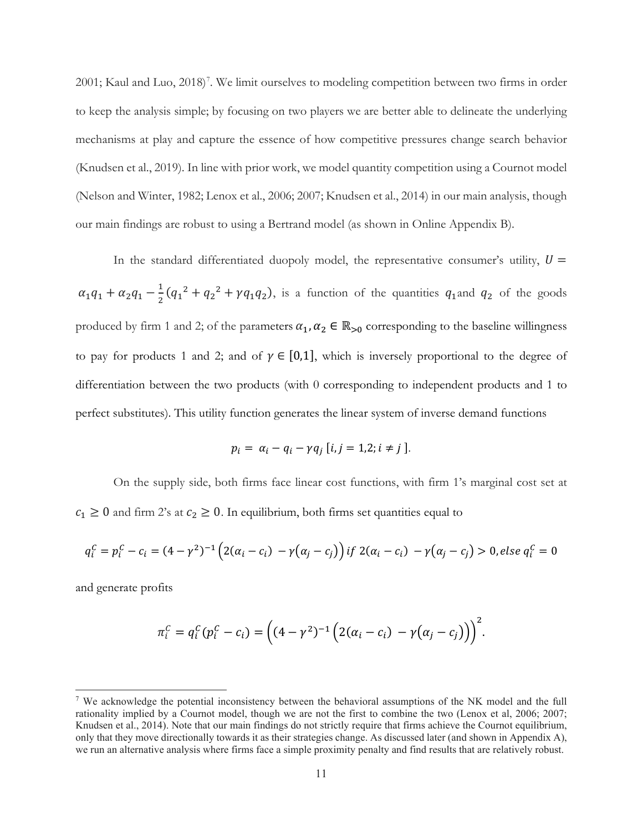2001; Kaul and Luo, 2018)<sup>[7](#page-11-0)</sup>. We limit ourselves to modeling competition between two firms in order to keep the analysis simple; by focusing on two players we are better able to delineate the underlying mechanisms at play and capture the essence of how competitive pressures change search behavior (Knudsen et al., 2019). In line with prior work, we model quantity competition using a Cournot model (Nelson and Winter, 1982; Lenox et al., 2006; 2007; Knudsen et al., 2014) in our main analysis, though our main findings are robust to using a Bertrand model (as shown in Online Appendix B).

In the standard differentiated duopoly model, the representative consumer's utility,  $U =$  $\alpha_1q_1 + \alpha_2q_1 - \frac{1}{2}(q_1^2 + q_2^2 + \gamma q_1q_2)$ , is a function of the quantities  $q_1$  and  $q_2$  of the goods produced by firm 1 and 2; of the parameters  $\alpha_1, \alpha_2 \in \mathbb{R}_{>0}$  corresponding to the baseline willingness to pay for products 1 and 2; and of  $\gamma \in [0,1]$ , which is inversely proportional to the degree of differentiation between the two products (with 0 corresponding to independent products and 1 to perfect substitutes). This utility function generates the linear system of inverse demand functions

$$
p_i = \alpha_i - q_i - \gamma q_j
$$
 [*i*, *j* = 1,2; *i*  $\neq$  *j*].

On the supply side, both firms face linear cost functions, with firm 1's marginal cost set at  $c_1 \geq 0$  and firm 2's at  $c_2 \geq 0$ . In equilibrium, both firms set quantities equal to

$$
q_i^C = p_i^C - c_i = (4 - \gamma^2)^{-1} \left( 2(\alpha_i - c_i) - \gamma(\alpha_j - c_j) \right) \text{if } 2(\alpha_i - c_i) - \gamma(\alpha_j - c_j) > 0, \text{else } q_i^C = 0
$$

and generate profits

$$
\pi_i^C = q_i^C (p_i^C - c_i) = ((4 - \gamma^2)^{-1} (2(\alpha_i - c_i) - \gamma(\alpha_j - c_j)))^2.
$$

<span id="page-11-0"></span><sup>&</sup>lt;sup>7</sup> We acknowledge the potential inconsistency between the behavioral assumptions of the NK model and the full rationality implied by a Cournot model, though we are not the first to combine the two (Lenox et al, 2006; 2007; Knudsen et al., 2014). Note that our main findings do not strictly require that firms achieve the Cournot equilibrium, only that they move directionally towards it as their strategies change. As discussed later (and shown in Appendix A), we run an alternative analysis where firms face a simple proximity penalty and find results that are relatively robust.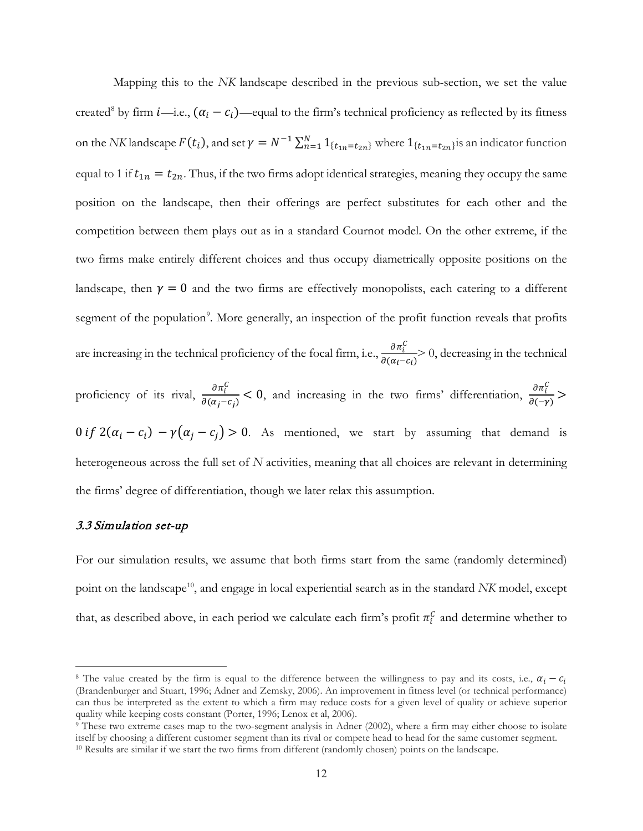Mapping this to the *NK* landscape described in the previous sub-section, we set the value created<sup>[8](#page-12-0)</sup> by firm *i*—i.e.,  $(\alpha_i - c_i)$ —equal to the firm's technical proficiency as reflected by its fitness on the *NK* landscape  $F(t_i)$ , and set  $\gamma = N^{-1} \sum_{n=1}^{N} 1_{\{t_{1n} = t_{2n}\}}$  where  $1_{\{t_{1n} = t_{2n}\}}$  is an indicator function equal to 1 if  $t_{1n} = t_{2n}$ . Thus, if the two firms adopt identical strategies, meaning they occupy the same position on the landscape, then their offerings are perfect substitutes for each other and the competition between them plays out as in a standard Cournot model. On the other extreme, if the two firms make entirely different choices and thus occupy diametrically opposite positions on the landscape, then  $\gamma = 0$  and the two firms are effectively monopolists, each catering to a different segment of the population<sup>[9](#page-12-1)</sup>. More generally, an inspection of the profit function reveals that profits are increasing in the technical proficiency of the focal firm, i.e.,  $\frac{\partial \pi_i^C}{\partial \zeta_i^C}$  $\sigma(\alpha_i-c_i)$ > 0, decreasing in the technical proficiency of its rival,  $\frac{\partial \pi_i^C}{\partial (\alpha_j - c_j)} < 0$ , and increasing in the two firms' differentiation,  $\frac{\partial \pi_i^C}{\partial (-\gamma)}$  $\frac{1}{\partial(-\gamma)}$  $0$  if  $2(\alpha_i - c_i) - \gamma(\alpha_j - c_j) > 0$ . As mentioned, we start by assuming that demand is heterogeneous across the full set of *N* activities, meaning that all choices are relevant in determining the firms' degree of differentiation, though we later relax this assumption.

## 3.3 Simulation set-up

For our simulation results, we assume that both firms start from the same (randomly determined) point on the landscape<sup>10</sup>, and engage in local experiential search as in the standard *NK* model, except that, as described above, in each period we calculate each firm's profit  $\pi_i^C$  and determine whether to

<span id="page-12-0"></span><sup>&</sup>lt;sup>8</sup> The value created by the firm is equal to the difference between the willingness to pay and its costs, i.e.,  $\alpha_i - c_i$ (Brandenburger and Stuart, 1996; Adner and Zemsky, 2006). An improvement in fitness level (or technical performance) can thus be interpreted as the extent to which a firm may reduce costs for a given level of quality or achieve superior quality while keeping costs constant (Porter, 1996; Lenox et al, 2006).

<span id="page-12-2"></span><span id="page-12-1"></span><sup>&</sup>lt;sup>9</sup> These two extreme cases map to the two-segment analysis in Adner (2002), where a firm may either choose to isolate itself by choosing a different customer segment than its rival or compete head to head for the same customer segment. <sup>10</sup> Results are similar if we start the two firms from different (randomly chosen) points on the landscape.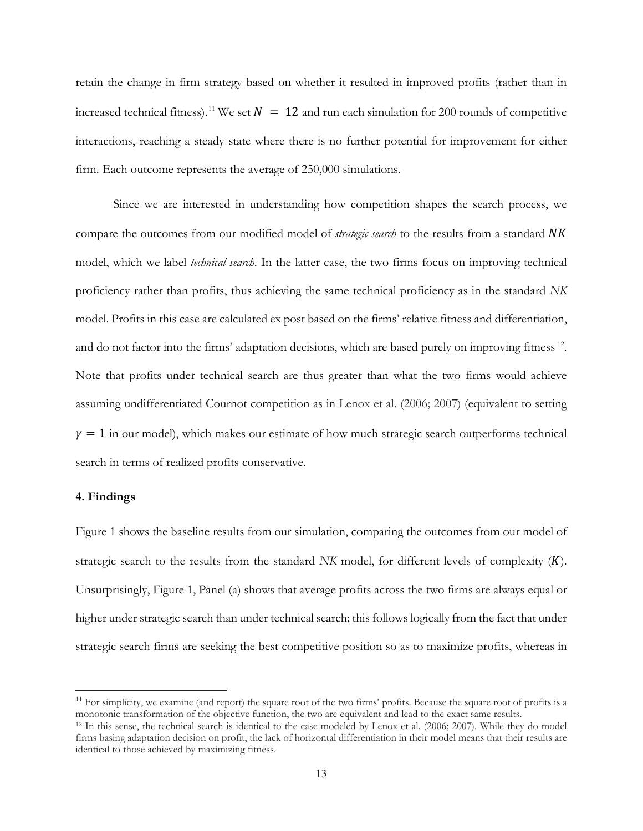retain the change in firm strategy based on whether it resulted in improved profits (rather than in increased technical fitness).<sup>[11](#page-13-0)</sup> We set  $N = 12$  and run each simulation for 200 rounds of competitive interactions, reaching a steady state where there is no further potential for improvement for either firm. Each outcome represents the average of 250,000 simulations.

Since we are interested in understanding how competition shapes the search process, we compare the outcomes from our modified model of *strategic search* to the results from a standard NK model, which we label *technical search*. In the latter case, the two firms focus on improving technical proficiency rather than profits, thus achieving the same technical proficiency as in the standard *NK* model. Profits in this case are calculated ex post based on the firms' relative fitness and differentiation, and do not factor into the firms' adaptation decisions, which are based purely on improving fitness <sup>[12](#page-13-1)</sup>. Note that profits under technical search are thus greater than what the two firms would achieve assuming undifferentiated Cournot competition as in Lenox et al. (2006; 2007) (equivalent to setting  $\gamma = 1$  in our model), which makes our estimate of how much strategic search outperforms technical search in terms of realized profits conservative.

## **4. Findings**

Figure 1 shows the baseline results from our simulation, comparing the outcomes from our model of strategic search to the results from the standard  $NK$  model, for different levels of complexity  $(K)$ . Unsurprisingly, Figure 1, Panel (a) shows that average profits across the two firms are always equal or higher under strategic search than under technical search; this follows logically from the fact that under strategic search firms are seeking the best competitive position so as to maximize profits, whereas in

<span id="page-13-0"></span> $11$  For simplicity, we examine (and report) the square root of the two firms' profits. Because the square root of profits is a monotonic transformation of the objective function, the two are equivalent and lead to the exact same results.<br><sup>12</sup> In this sense, the technical search is identical to the case modeled by Lenox et al. (2006; 2007). While t

<span id="page-13-1"></span>firms basing adaptation decision on profit, the lack of horizontal differentiation in their model means that their results are identical to those achieved by maximizing fitness.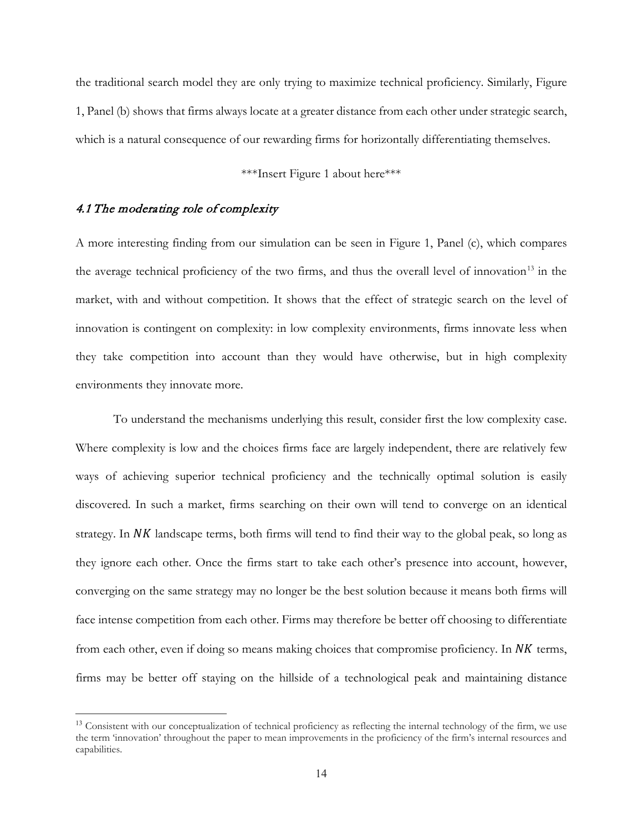the traditional search model they are only trying to maximize technical proficiency. Similarly, Figure 1, Panel (b) shows that firms always locate at a greater distance from each other under strategic search, which is a natural consequence of our rewarding firms for horizontally differentiating themselves.

\*\*\*Insert Figure 1 about here\*\*\*

## 4.1 The moderating role of complexity

A more interesting finding from our simulation can be seen in Figure 1, Panel (c), which compares the average technical proficiency of the two firms, and thus the overall level of innovation<sup>[13](#page-14-0)</sup> in the market, with and without competition. It shows that the effect of strategic search on the level of innovation is contingent on complexity: in low complexity environments, firms innovate less when they take competition into account than they would have otherwise, but in high complexity environments they innovate more.

To understand the mechanisms underlying this result, consider first the low complexity case. Where complexity is low and the choices firms face are largely independent, there are relatively few ways of achieving superior technical proficiency and the technically optimal solution is easily discovered. In such a market, firms searching on their own will tend to converge on an identical strategy. In  $NK$  landscape terms, both firms will tend to find their way to the global peak, so long as they ignore each other. Once the firms start to take each other's presence into account, however, converging on the same strategy may no longer be the best solution because it means both firms will face intense competition from each other. Firms may therefore be better off choosing to differentiate from each other, even if doing so means making choices that compromise proficiency. In  $NK$  terms, firms may be better off staying on the hillside of a technological peak and maintaining distance

<span id="page-14-0"></span><sup>&</sup>lt;sup>13</sup> Consistent with our conceptualization of technical proficiency as reflecting the internal technology of the firm, we use the term 'innovation' throughout the paper to mean improvements in the proficiency of the firm's internal resources and capabilities.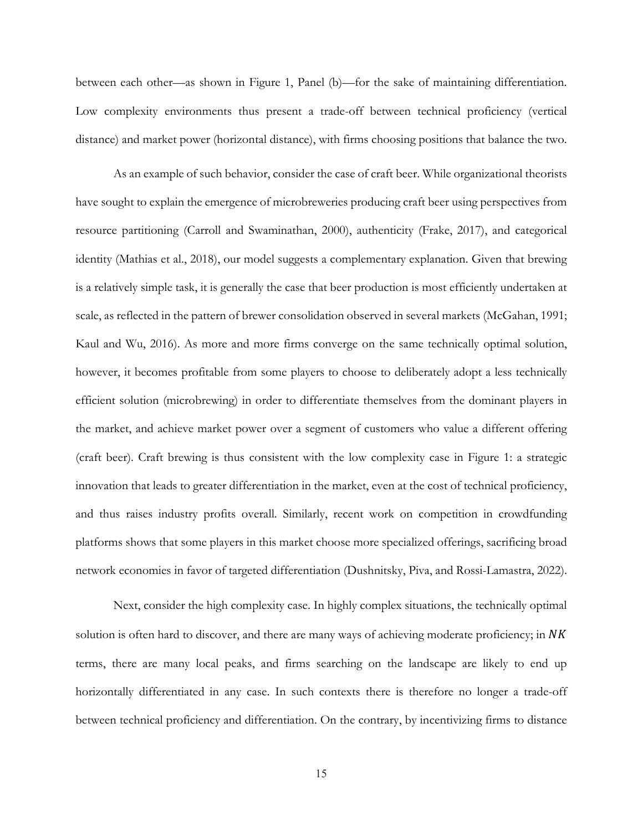between each other—as shown in Figure 1, Panel (b)—for the sake of maintaining differentiation. Low complexity environments thus present a trade-off between technical proficiency (vertical distance) and market power (horizontal distance), with firms choosing positions that balance the two.

As an example of such behavior, consider the case of craft beer. While organizational theorists have sought to explain the emergence of microbreweries producing craft beer using perspectives from resource partitioning (Carroll and Swaminathan, 2000), authenticity (Frake, 2017), and categorical identity (Mathias et al., 2018), our model suggests a complementary explanation. Given that brewing is a relatively simple task, it is generally the case that beer production is most efficiently undertaken at scale, as reflected in the pattern of brewer consolidation observed in several markets (McGahan, 1991; Kaul and Wu, 2016). As more and more firms converge on the same technically optimal solution, however, it becomes profitable from some players to choose to deliberately adopt a less technically efficient solution (microbrewing) in order to differentiate themselves from the dominant players in the market, and achieve market power over a segment of customers who value a different offering (craft beer). Craft brewing is thus consistent with the low complexity case in Figure 1: a strategic innovation that leads to greater differentiation in the market, even at the cost of technical proficiency, and thus raises industry profits overall. Similarly, recent work on competition in crowdfunding platforms shows that some players in this market choose more specialized offerings, sacrificing broad network economies in favor of targeted differentiation (Dushnitsky, Piva, and Rossi-Lamastra, 2022).

Next, consider the high complexity case. In highly complex situations, the technically optimal solution is often hard to discover, and there are many ways of achieving moderate proficiency; in NK terms, there are many local peaks, and firms searching on the landscape are likely to end up horizontally differentiated in any case. In such contexts there is therefore no longer a trade-off between technical proficiency and differentiation. On the contrary, by incentivizing firms to distance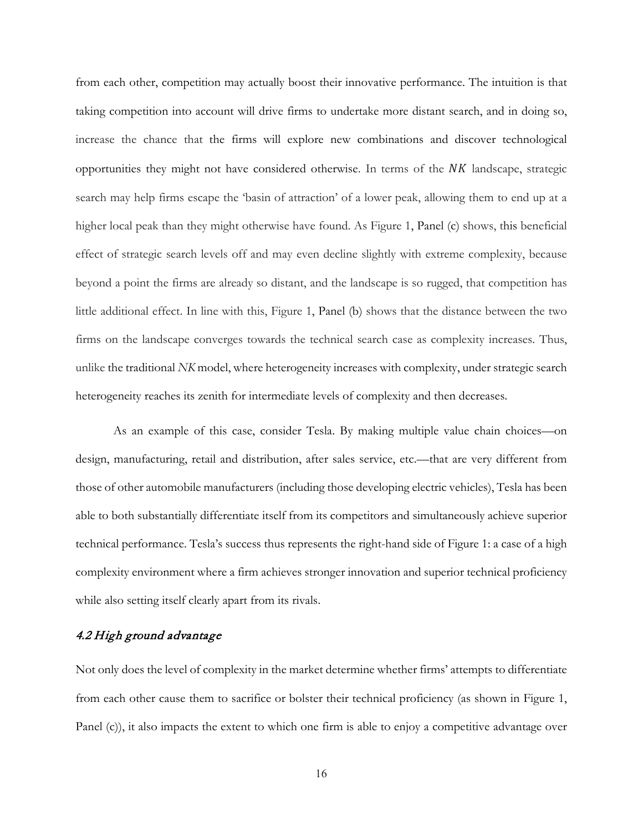from each other, competition may actually boost their innovative performance. The intuition is that taking competition into account will drive firms to undertake more distant search, and in doing so, increase the chance that the firms will explore new combinations and discover technological opportunities they might not have considered otherwise. In terms of the  $NK$  landscape, strategic search may help firms escape the 'basin of attraction' of a lower peak, allowing them to end up at a higher local peak than they might otherwise have found. As Figure 1, Panel (c) shows, this beneficial effect of strategic search levels off and may even decline slightly with extreme complexity, because beyond a point the firms are already so distant, and the landscape is so rugged, that competition has little additional effect. In line with this, Figure 1, Panel (b) shows that the distance between the two firms on the landscape converges towards the technical search case as complexity increases. Thus, unlike the traditional *NK* model, where heterogeneity increases with complexity, under strategic search heterogeneity reaches its zenith for intermediate levels of complexity and then decreases.

As an example of this case, consider Tesla. By making multiple value chain choices—on design, manufacturing, retail and distribution, after sales service, etc.—that are very different from those of other automobile manufacturers (including those developing electric vehicles), Tesla has been able to both substantially differentiate itself from its competitors and simultaneously achieve superior technical performance. Tesla's success thus represents the right-hand side of Figure 1: a case of a high complexity environment where a firm achieves stronger innovation and superior technical proficiency while also setting itself clearly apart from its rivals.

## 4.2 High ground advantage

Not only does the level of complexity in the market determine whether firms' attempts to differentiate from each other cause them to sacrifice or bolster their technical proficiency (as shown in Figure 1, Panel (c)), it also impacts the extent to which one firm is able to enjoy a competitive advantage over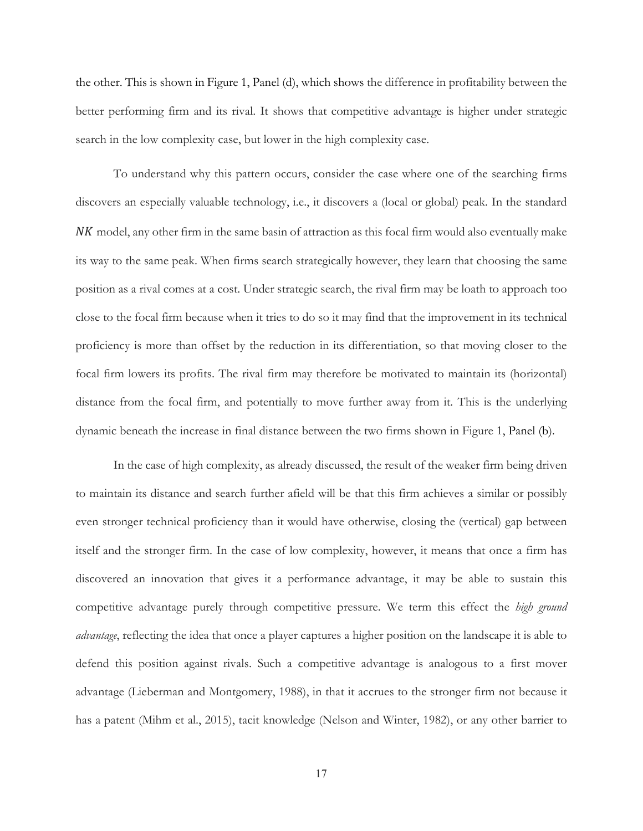the other. This is shown in Figure 1, Panel (d), which shows the difference in profitability between the better performing firm and its rival. It shows that competitive advantage is higher under strategic search in the low complexity case, but lower in the high complexity case.

To understand why this pattern occurs, consider the case where one of the searching firms discovers an especially valuable technology, i.e., it discovers a (local or global) peak. In the standard NK model, any other firm in the same basin of attraction as this focal firm would also eventually make its way to the same peak. When firms search strategically however, they learn that choosing the same position as a rival comes at a cost. Under strategic search, the rival firm may be loath to approach too close to the focal firm because when it tries to do so it may find that the improvement in its technical proficiency is more than offset by the reduction in its differentiation, so that moving closer to the focal firm lowers its profits. The rival firm may therefore be motivated to maintain its (horizontal) distance from the focal firm, and potentially to move further away from it. This is the underlying dynamic beneath the increase in final distance between the two firms shown in Figure 1, Panel (b).

In the case of high complexity, as already discussed, the result of the weaker firm being driven to maintain its distance and search further afield will be that this firm achieves a similar or possibly even stronger technical proficiency than it would have otherwise, closing the (vertical) gap between itself and the stronger firm. In the case of low complexity, however, it means that once a firm has discovered an innovation that gives it a performance advantage, it may be able to sustain this competitive advantage purely through competitive pressure. We term this effect the *high ground advantage*, reflecting the idea that once a player captures a higher position on the landscape it is able to defend this position against rivals. Such a competitive advantage is analogous to a first mover advantage (Lieberman and Montgomery, 1988), in that it accrues to the stronger firm not because it has a patent (Mihm et al., 2015), tacit knowledge (Nelson and Winter, 1982), or any other barrier to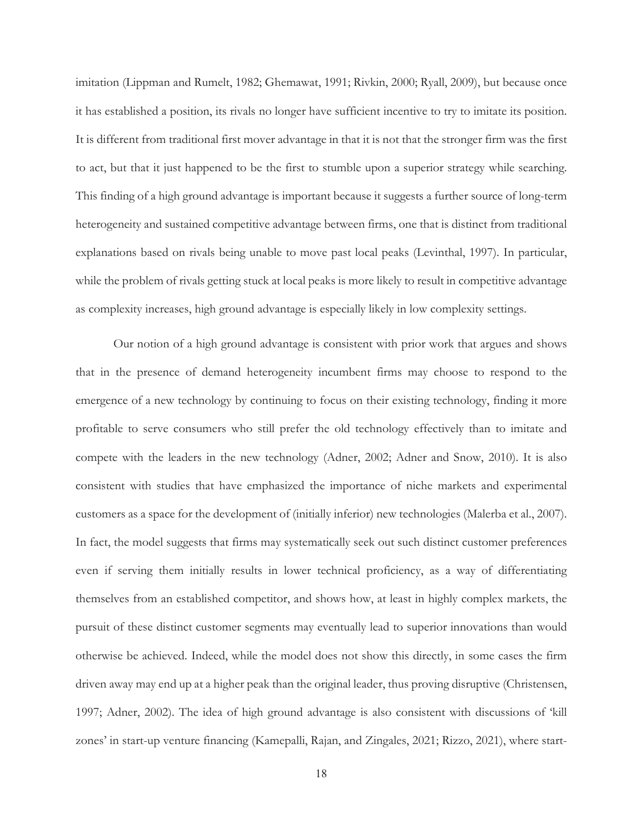imitation (Lippman and Rumelt, 1982; Ghemawat, 1991; Rivkin, 2000; Ryall, 2009), but because once it has established a position, its rivals no longer have sufficient incentive to try to imitate its position. It is different from traditional first mover advantage in that it is not that the stronger firm was the first to act, but that it just happened to be the first to stumble upon a superior strategy while searching. This finding of a high ground advantage is important because it suggests a further source of long-term heterogeneity and sustained competitive advantage between firms, one that is distinct from traditional explanations based on rivals being unable to move past local peaks (Levinthal, 1997). In particular, while the problem of rivals getting stuck at local peaks is more likely to result in competitive advantage as complexity increases, high ground advantage is especially likely in low complexity settings.

Our notion of a high ground advantage is consistent with prior work that argues and shows that in the presence of demand heterogeneity incumbent firms may choose to respond to the emergence of a new technology by continuing to focus on their existing technology, finding it more profitable to serve consumers who still prefer the old technology effectively than to imitate and compete with the leaders in the new technology (Adner, 2002; Adner and Snow, 2010). It is also consistent with studies that have emphasized the importance of niche markets and experimental customers as a space for the development of (initially inferior) new technologies (Malerba et al., 2007). In fact, the model suggests that firms may systematically seek out such distinct customer preferences even if serving them initially results in lower technical proficiency, as a way of differentiating themselves from an established competitor, and shows how, at least in highly complex markets, the pursuit of these distinct customer segments may eventually lead to superior innovations than would otherwise be achieved. Indeed, while the model does not show this directly, in some cases the firm driven away may end up at a higher peak than the original leader, thus proving disruptive (Christensen, 1997; Adner, 2002). The idea of high ground advantage is also consistent with discussions of 'kill zones' in start-up venture financing (Kamepalli, Rajan, and Zingales, 2021; Rizzo, 2021), where start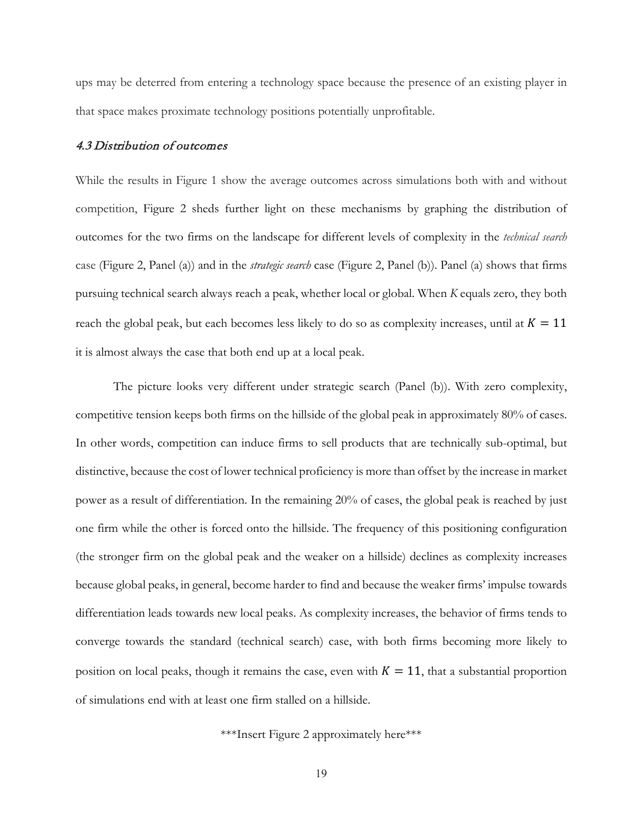ups may be deterred from entering a technology space because the presence of an existing player in that space makes proximate technology positions potentially unprofitable.

### 4.3 Distribution of outcomes

While the results in Figure 1 show the average outcomes across simulations both with and without competition, Figure 2 sheds further light on these mechanisms by graphing the distribution of outcomes for the two firms on the landscape for different levels of complexity in the *technical search* case (Figure 2, Panel (a)) and in the *strategic search* case (Figure 2, Panel (b)). Panel (a) shows that firms pursuing technical search always reach a peak, whether local or global. When *K* equals zero, they both reach the global peak, but each becomes less likely to do so as complexity increases, until at  $K = 11$ it is almost always the case that both end up at a local peak.

The picture looks very different under strategic search (Panel (b)). With zero complexity, competitive tension keeps both firms on the hillside of the global peak in approximately 80% of cases. In other words, competition can induce firms to sell products that are technically sub-optimal, but distinctive, because the cost of lower technical proficiency is more than offset by the increase in market power as a result of differentiation. In the remaining 20% of cases, the global peak is reached by just one firm while the other is forced onto the hillside. The frequency of this positioning configuration (the stronger firm on the global peak and the weaker on a hillside) declines as complexity increases because global peaks, in general, become harder to find and because the weaker firms' impulse towards differentiation leads towards new local peaks. As complexity increases, the behavior of firms tends to converge towards the standard (technical search) case, with both firms becoming more likely to position on local peaks, though it remains the case, even with  $K = 11$ , that a substantial proportion of simulations end with at least one firm stalled on a hillside.

\*\*\*Insert Figure 2 approximately here\*\*\*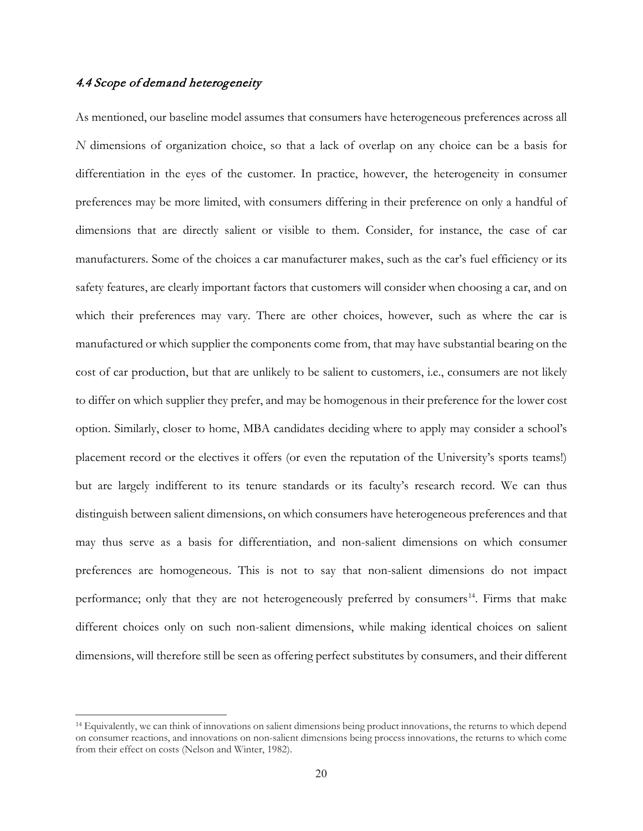## 4.4 Scope of demand heterogeneity

As mentioned, our baseline model assumes that consumers have heterogeneous preferences across all *N* dimensions of organization choice, so that a lack of overlap on any choice can be a basis for differentiation in the eyes of the customer. In practice, however, the heterogeneity in consumer preferences may be more limited, with consumers differing in their preference on only a handful of dimensions that are directly salient or visible to them. Consider, for instance, the case of car manufacturers. Some of the choices a car manufacturer makes, such as the car's fuel efficiency or its safety features, are clearly important factors that customers will consider when choosing a car, and on which their preferences may vary. There are other choices, however, such as where the car is manufactured or which supplier the components come from, that may have substantial bearing on the cost of car production, but that are unlikely to be salient to customers, i.e., consumers are not likely to differ on which supplier they prefer, and may be homogenous in their preference for the lower cost option. Similarly, closer to home, MBA candidates deciding where to apply may consider a school's placement record or the electives it offers (or even the reputation of the University's sports teams!) but are largely indifferent to its tenure standards or its faculty's research record. We can thus distinguish between salient dimensions, on which consumers have heterogeneous preferences and that may thus serve as a basis for differentiation, and non-salient dimensions on which consumer preferences are homogeneous. This is not to say that non-salient dimensions do not impact performance; only that they are not heterogeneously preferred by consumers<sup>14</sup>. Firms that make different choices only on such non-salient dimensions, while making identical choices on salient dimensions, will therefore still be seen as offering perfect substitutes by consumers, and their different

<span id="page-20-0"></span><sup>14</sup> Equivalently, we can think of innovations on salient dimensions being product innovations, the returns to which depend on consumer reactions, and innovations on non-salient dimensions being process innovations, the returns to which come from their effect on costs (Nelson and Winter, 1982).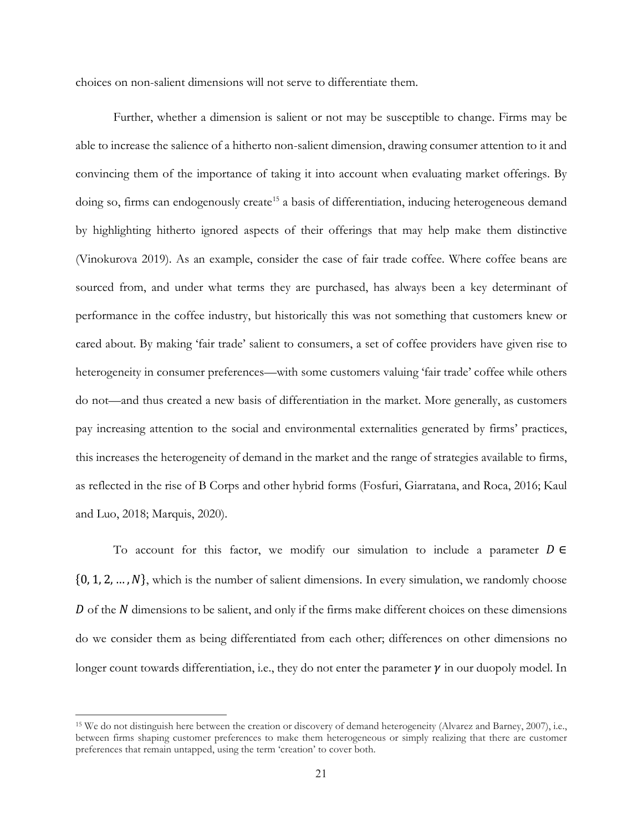choices on non-salient dimensions will not serve to differentiate them.

Further, whether a dimension is salient or not may be susceptible to change. Firms may be able to increase the salience of a hitherto non-salient dimension, drawing consumer attention to it and convincing them of the importance of taking it into account when evaluating market offerings. By doing so, firms can endogenously create<sup>[15](#page-21-0)</sup> a basis of differentiation, inducing heterogeneous demand by highlighting hitherto ignored aspects of their offerings that may help make them distinctive (Vinokurova 2019). As an example, consider the case of fair trade coffee. Where coffee beans are sourced from, and under what terms they are purchased, has always been a key determinant of performance in the coffee industry, but historically this was not something that customers knew or cared about. By making 'fair trade' salient to consumers, a set of coffee providers have given rise to heterogeneity in consumer preferences—with some customers valuing 'fair trade' coffee while others do not—and thus created a new basis of differentiation in the market. More generally, as customers pay increasing attention to the social and environmental externalities generated by firms' practices, this increases the heterogeneity of demand in the market and the range of strategies available to firms, as reflected in the rise of B Corps and other hybrid forms (Fosfuri, Giarratana, and Roca, 2016; Kaul and Luo, 2018; Marquis, 2020).

To account for this factor, we modify our simulation to include a parameter  $D \in$  $\{0, 1, 2, ..., N\}$ , which is the number of salient dimensions. In every simulation, we randomly choose  $D$  of the  $N$  dimensions to be salient, and only if the firms make different choices on these dimensions do we consider them as being differentiated from each other; differences on other dimensions no longer count towards differentiation, i.e., they do not enter the parameter  $\gamma$  in our duopoly model. In

<span id="page-21-0"></span><sup>15</sup> We do not distinguish here between the creation or discovery of demand heterogeneity (Alvarez and Barney, 2007), i.e., between firms shaping customer preferences to make them heterogeneous or simply realizing that there are customer preferences that remain untapped, using the term 'creation' to cover both.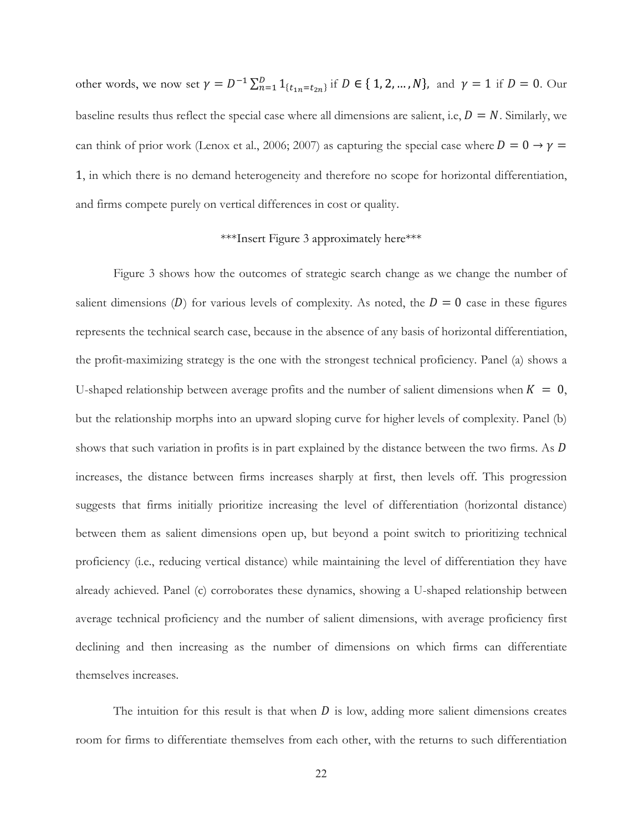other words, we now set  $\gamma = D^{-1} \sum_{n=1}^{D} 1_{\{t_{1n} = t_{2n}\}}$  if  $D \in \{1, 2, ..., N\}$ , and  $\gamma = 1$  if  $D = 0$ . Our baseline results thus reflect the special case where all dimensions are salient, i.e,  $D = N$ . Similarly, we can think of prior work (Lenox et al., 2006; 2007) as capturing the special case where  $D = 0 \rightarrow \gamma =$ 1, in which there is no demand heterogeneity and therefore no scope for horizontal differentiation, and firms compete purely on vertical differences in cost or quality.

## \*\*\*Insert Figure 3 approximately here\*\*\*

Figure 3 shows how the outcomes of strategic search change as we change the number of salient dimensions (D) for various levels of complexity. As noted, the  $D = 0$  case in these figures represents the technical search case, because in the absence of any basis of horizontal differentiation, the profit-maximizing strategy is the one with the strongest technical proficiency. Panel (a) shows a U-shaped relationship between average profits and the number of salient dimensions when  $K = 0$ , but the relationship morphs into an upward sloping curve for higher levels of complexity. Panel (b) shows that such variation in profits is in part explained by the distance between the two firms. As D increases, the distance between firms increases sharply at first, then levels off. This progression suggests that firms initially prioritize increasing the level of differentiation (horizontal distance) between them as salient dimensions open up, but beyond a point switch to prioritizing technical proficiency (i.e., reducing vertical distance) while maintaining the level of differentiation they have already achieved. Panel (c) corroborates these dynamics, showing a U-shaped relationship between average technical proficiency and the number of salient dimensions, with average proficiency first declining and then increasing as the number of dimensions on which firms can differentiate themselves increases.

The intuition for this result is that when  $D$  is low, adding more salient dimensions creates room for firms to differentiate themselves from each other, with the returns to such differentiation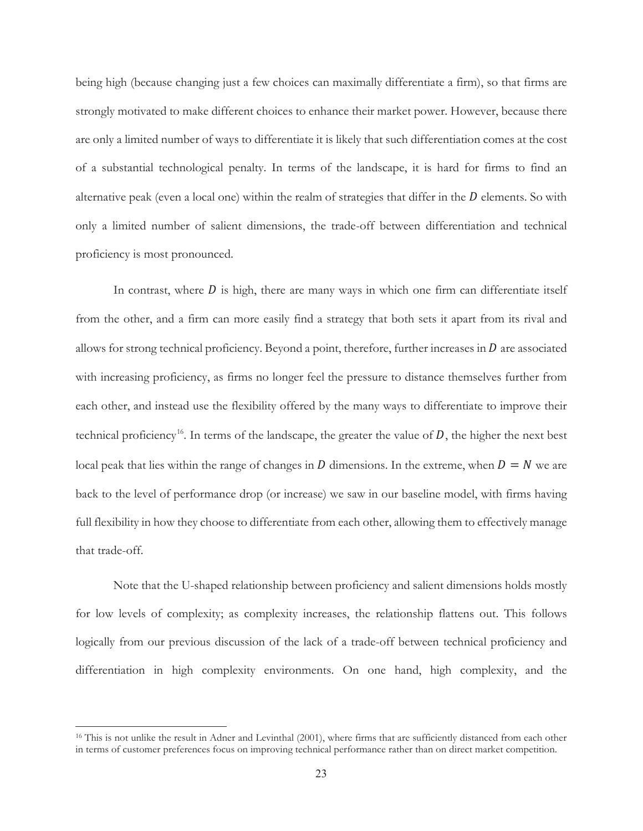being high (because changing just a few choices can maximally differentiate a firm), so that firms are strongly motivated to make different choices to enhance their market power. However, because there are only a limited number of ways to differentiate it is likely that such differentiation comes at the cost of a substantial technological penalty. In terms of the landscape, it is hard for firms to find an alternative peak (even a local one) within the realm of strategies that differ in the  $D$  elements. So with only a limited number of salient dimensions, the trade-off between differentiation and technical proficiency is most pronounced.

In contrast, where  $D$  is high, there are many ways in which one firm can differentiate itself from the other, and a firm can more easily find a strategy that both sets it apart from its rival and allows for strong technical proficiency. Beyond a point, therefore, further increases in  $D$  are associated with increasing proficiency, as firms no longer feel the pressure to distance themselves further from each other, and instead use the flexibility offered by the many ways to differentiate to improve their technical proficiency<sup>16</sup>. In terms of the landscape, the greater the value of  $D$ , the higher the next best local peak that lies within the range of changes in D dimensions. In the extreme, when  $D = N$  we are back to the level of performance drop (or increase) we saw in our baseline model, with firms having full flexibility in how they choose to differentiate from each other, allowing them to effectively manage that trade-off.

Note that the U-shaped relationship between proficiency and salient dimensions holds mostly for low levels of complexity; as complexity increases, the relationship flattens out. This follows logically from our previous discussion of the lack of a trade-off between technical proficiency and differentiation in high complexity environments. On one hand, high complexity, and the

<span id="page-23-0"></span><sup>&</sup>lt;sup>16</sup> This is not unlike the result in Adner and Levinthal (2001), where firms that are sufficiently distanced from each other in terms of customer preferences focus on improving technical performance rather than on direct market competition.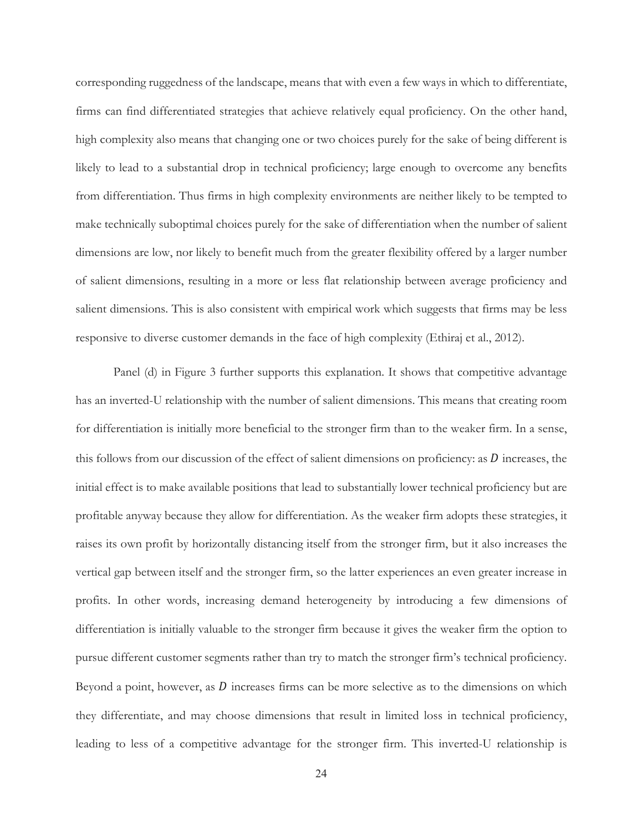corresponding ruggedness of the landscape, means that with even a few ways in which to differentiate, firms can find differentiated strategies that achieve relatively equal proficiency. On the other hand, high complexity also means that changing one or two choices purely for the sake of being different is likely to lead to a substantial drop in technical proficiency; large enough to overcome any benefits from differentiation. Thus firms in high complexity environments are neither likely to be tempted to make technically suboptimal choices purely for the sake of differentiation when the number of salient dimensions are low, nor likely to benefit much from the greater flexibility offered by a larger number of salient dimensions, resulting in a more or less flat relationship between average proficiency and salient dimensions. This is also consistent with empirical work which suggests that firms may be less responsive to diverse customer demands in the face of high complexity (Ethiraj et al., 2012).

Panel (d) in Figure 3 further supports this explanation. It shows that competitive advantage has an inverted-U relationship with the number of salient dimensions. This means that creating room for differentiation is initially more beneficial to the stronger firm than to the weaker firm. In a sense, this follows from our discussion of the effect of salient dimensions on proficiency: as  $D$  increases, the initial effect is to make available positions that lead to substantially lower technical proficiency but are profitable anyway because they allow for differentiation. As the weaker firm adopts these strategies, it raises its own profit by horizontally distancing itself from the stronger firm, but it also increases the vertical gap between itself and the stronger firm, so the latter experiences an even greater increase in profits. In other words, increasing demand heterogeneity by introducing a few dimensions of differentiation is initially valuable to the stronger firm because it gives the weaker firm the option to pursue different customer segments rather than try to match the stronger firm's technical proficiency. Beyond a point, however, as  $D$  increases firms can be more selective as to the dimensions on which they differentiate, and may choose dimensions that result in limited loss in technical proficiency, leading to less of a competitive advantage for the stronger firm. This inverted-U relationship is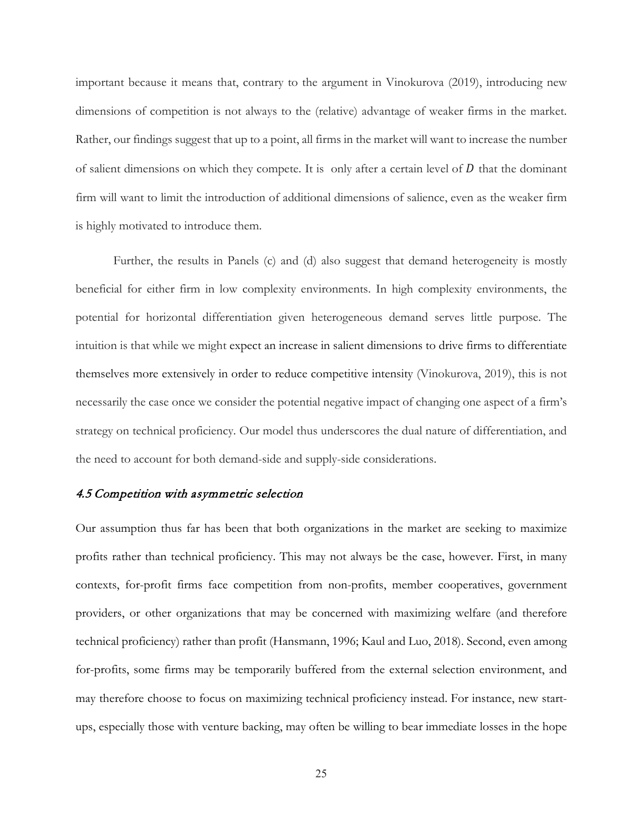important because it means that, contrary to the argument in Vinokurova (2019), introducing new dimensions of competition is not always to the (relative) advantage of weaker firms in the market. Rather, our findings suggest that up to a point, all firms in the market will want to increase the number of salient dimensions on which they compete. It is only after a certain level of  $D$  that the dominant firm will want to limit the introduction of additional dimensions of salience, even as the weaker firm is highly motivated to introduce them.

Further, the results in Panels (c) and (d) also suggest that demand heterogeneity is mostly beneficial for either firm in low complexity environments. In high complexity environments, the potential for horizontal differentiation given heterogeneous demand serves little purpose. The intuition is that while we might expect an increase in salient dimensions to drive firms to differentiate themselves more extensively in order to reduce competitive intensity (Vinokurova, 2019), this is not necessarily the case once we consider the potential negative impact of changing one aspect of a firm's strategy on technical proficiency. Our model thus underscores the dual nature of differentiation, and the need to account for both demand-side and supply-side considerations.

### 4.5 Competition with asymmetric selection

Our assumption thus far has been that both organizations in the market are seeking to maximize profits rather than technical proficiency. This may not always be the case, however. First, in many contexts, for-profit firms face competition from non-profits, member cooperatives, government providers, or other organizations that may be concerned with maximizing welfare (and therefore technical proficiency) rather than profit (Hansmann, 1996; Kaul and Luo, 2018). Second, even among for-profits, some firms may be temporarily buffered from the external selection environment, and may therefore choose to focus on maximizing technical proficiency instead. For instance, new startups, especially those with venture backing, may often be willing to bear immediate losses in the hope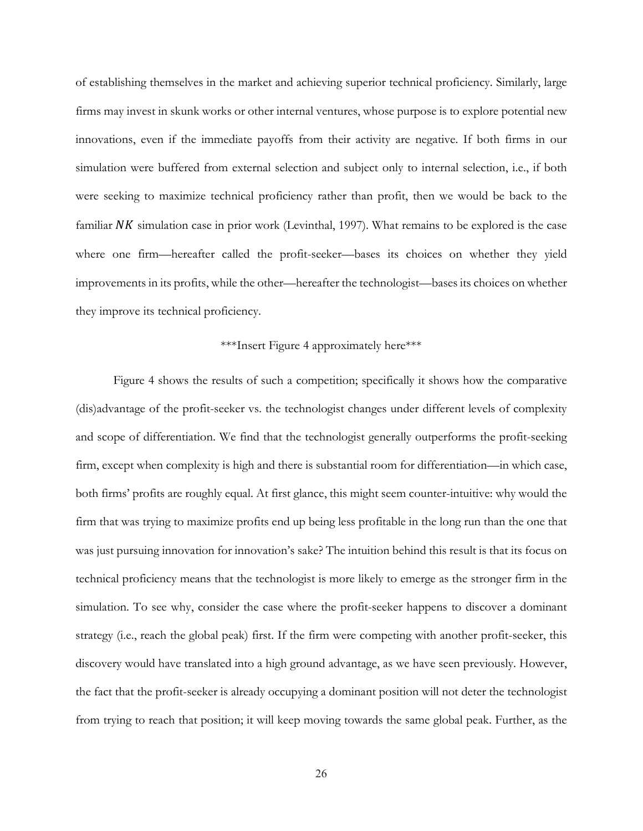of establishing themselves in the market and achieving superior technical proficiency. Similarly, large firms may invest in skunk works or other internal ventures, whose purpose is to explore potential new innovations, even if the immediate payoffs from their activity are negative. If both firms in our simulation were buffered from external selection and subject only to internal selection, i.e., if both were seeking to maximize technical proficiency rather than profit, then we would be back to the familiar  $NK$  simulation case in prior work (Levinthal, 1997). What remains to be explored is the case where one firm—hereafter called the profit-seeker—bases its choices on whether they yield improvements in its profits, while the other—hereafter the technologist—bases its choices on whether they improve its technical proficiency.

## \*\*\*Insert Figure 4 approximately here\*\*\*

Figure 4 shows the results of such a competition; specifically it shows how the comparative (dis)advantage of the profit-seeker vs. the technologist changes under different levels of complexity and scope of differentiation. We find that the technologist generally outperforms the profit-seeking firm, except when complexity is high and there is substantial room for differentiation—in which case, both firms' profits are roughly equal. At first glance, this might seem counter-intuitive: why would the firm that was trying to maximize profits end up being less profitable in the long run than the one that was just pursuing innovation for innovation's sake? The intuition behind this result is that its focus on technical proficiency means that the technologist is more likely to emerge as the stronger firm in the simulation. To see why, consider the case where the profit-seeker happens to discover a dominant strategy (i.e., reach the global peak) first. If the firm were competing with another profit-seeker, this discovery would have translated into a high ground advantage, as we have seen previously. However, the fact that the profit-seeker is already occupying a dominant position will not deter the technologist from trying to reach that position; it will keep moving towards the same global peak. Further, as the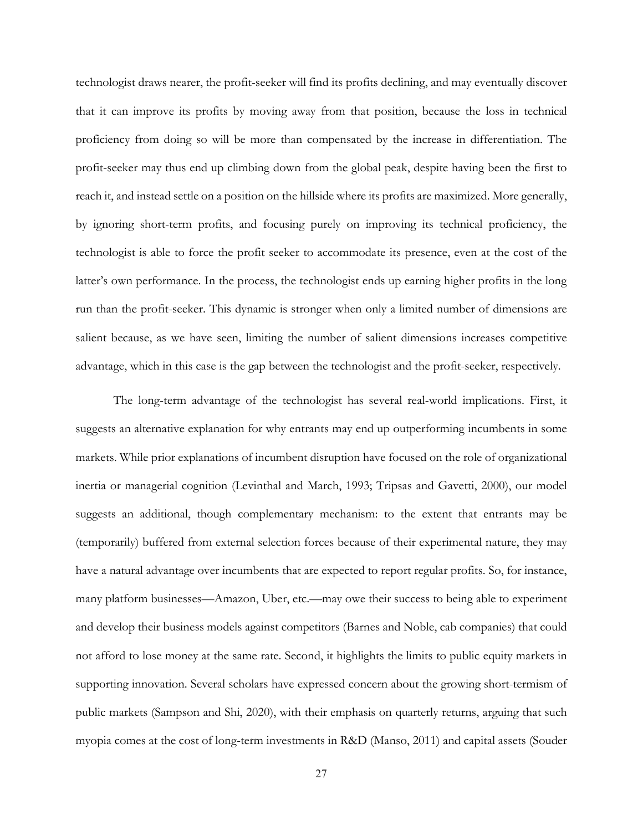technologist draws nearer, the profit-seeker will find its profits declining, and may eventually discover that it can improve its profits by moving away from that position, because the loss in technical proficiency from doing so will be more than compensated by the increase in differentiation. The profit-seeker may thus end up climbing down from the global peak, despite having been the first to reach it, and instead settle on a position on the hillside where its profits are maximized. More generally, by ignoring short-term profits, and focusing purely on improving its technical proficiency, the technologist is able to force the profit seeker to accommodate its presence, even at the cost of the latter's own performance. In the process, the technologist ends up earning higher profits in the long run than the profit-seeker. This dynamic is stronger when only a limited number of dimensions are salient because, as we have seen, limiting the number of salient dimensions increases competitive advantage, which in this case is the gap between the technologist and the profit-seeker, respectively.

The long-term advantage of the technologist has several real-world implications. First, it suggests an alternative explanation for why entrants may end up outperforming incumbents in some markets. While prior explanations of incumbent disruption have focused on the role of organizational inertia or managerial cognition (Levinthal and March, 1993; Tripsas and Gavetti, 2000), our model suggests an additional, though complementary mechanism: to the extent that entrants may be (temporarily) buffered from external selection forces because of their experimental nature, they may have a natural advantage over incumbents that are expected to report regular profits. So, for instance, many platform businesses—Amazon, Uber, etc.—may owe their success to being able to experiment and develop their business models against competitors (Barnes and Noble, cab companies) that could not afford to lose money at the same rate. Second, it highlights the limits to public equity markets in supporting innovation. Several scholars have expressed concern about the growing short-termism of public markets (Sampson and Shi, 2020), with their emphasis on quarterly returns, arguing that such myopia comes at the cost of long-term investments in R&D (Manso, 2011) and capital assets (Souder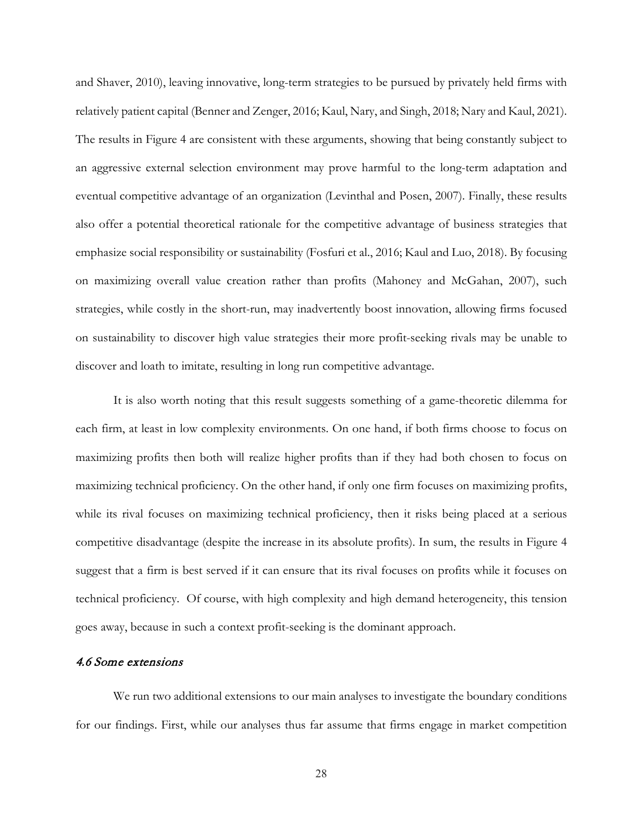and Shaver, 2010), leaving innovative, long-term strategies to be pursued by privately held firms with relatively patient capital (Benner and Zenger, 2016; Kaul, Nary, and Singh, 2018; Nary and Kaul, 2021). The results in Figure 4 are consistent with these arguments, showing that being constantly subject to an aggressive external selection environment may prove harmful to the long-term adaptation and eventual competitive advantage of an organization (Levinthal and Posen, 2007). Finally, these results also offer a potential theoretical rationale for the competitive advantage of business strategies that emphasize social responsibility or sustainability (Fosfuri et al., 2016; Kaul and Luo, 2018). By focusing on maximizing overall value creation rather than profits (Mahoney and McGahan, 2007), such strategies, while costly in the short-run, may inadvertently boost innovation, allowing firms focused on sustainability to discover high value strategies their more profit-seeking rivals may be unable to discover and loath to imitate, resulting in long run competitive advantage.

It is also worth noting that this result suggests something of a game-theoretic dilemma for each firm, at least in low complexity environments. On one hand, if both firms choose to focus on maximizing profits then both will realize higher profits than if they had both chosen to focus on maximizing technical proficiency. On the other hand, if only one firm focuses on maximizing profits, while its rival focuses on maximizing technical proficiency, then it risks being placed at a serious competitive disadvantage (despite the increase in its absolute profits). In sum, the results in Figure 4 suggest that a firm is best served if it can ensure that its rival focuses on profits while it focuses on technical proficiency. Of course, with high complexity and high demand heterogeneity, this tension goes away, because in such a context profit-seeking is the dominant approach.

### 4.6 Some extensions

We run two additional extensions to our main analyses to investigate the boundary conditions for our findings. First, while our analyses thus far assume that firms engage in market competition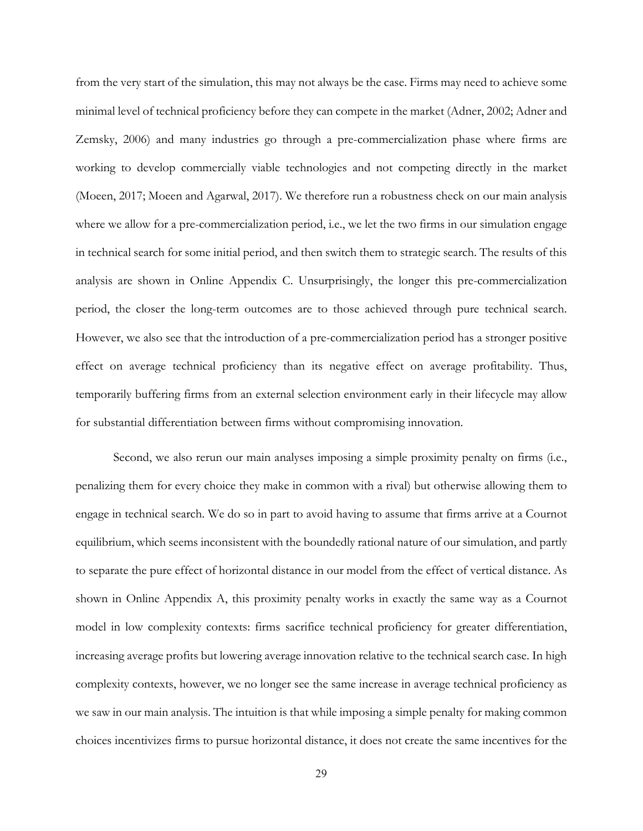from the very start of the simulation, this may not always be the case. Firms may need to achieve some minimal level of technical proficiency before they can compete in the market (Adner, 2002; Adner and Zemsky, 2006) and many industries go through a pre-commercialization phase where firms are working to develop commercially viable technologies and not competing directly in the market (Moeen, 2017; Moeen and Agarwal, 2017). We therefore run a robustness check on our main analysis where we allow for a pre-commercialization period, i.e., we let the two firms in our simulation engage in technical search for some initial period, and then switch them to strategic search. The results of this analysis are shown in Online Appendix C. Unsurprisingly, the longer this pre-commercialization period, the closer the long-term outcomes are to those achieved through pure technical search. However, we also see that the introduction of a pre-commercialization period has a stronger positive effect on average technical proficiency than its negative effect on average profitability. Thus, temporarily buffering firms from an external selection environment early in their lifecycle may allow for substantial differentiation between firms without compromising innovation.

Second, we also rerun our main analyses imposing a simple proximity penalty on firms (i.e., penalizing them for every choice they make in common with a rival) but otherwise allowing them to engage in technical search. We do so in part to avoid having to assume that firms arrive at a Cournot equilibrium, which seems inconsistent with the boundedly rational nature of our simulation, and partly to separate the pure effect of horizontal distance in our model from the effect of vertical distance. As shown in Online Appendix A, this proximity penalty works in exactly the same way as a Cournot model in low complexity contexts: firms sacrifice technical proficiency for greater differentiation, increasing average profits but lowering average innovation relative to the technical search case. In high complexity contexts, however, we no longer see the same increase in average technical proficiency as we saw in our main analysis. The intuition is that while imposing a simple penalty for making common choices incentivizes firms to pursue horizontal distance, it does not create the same incentives for the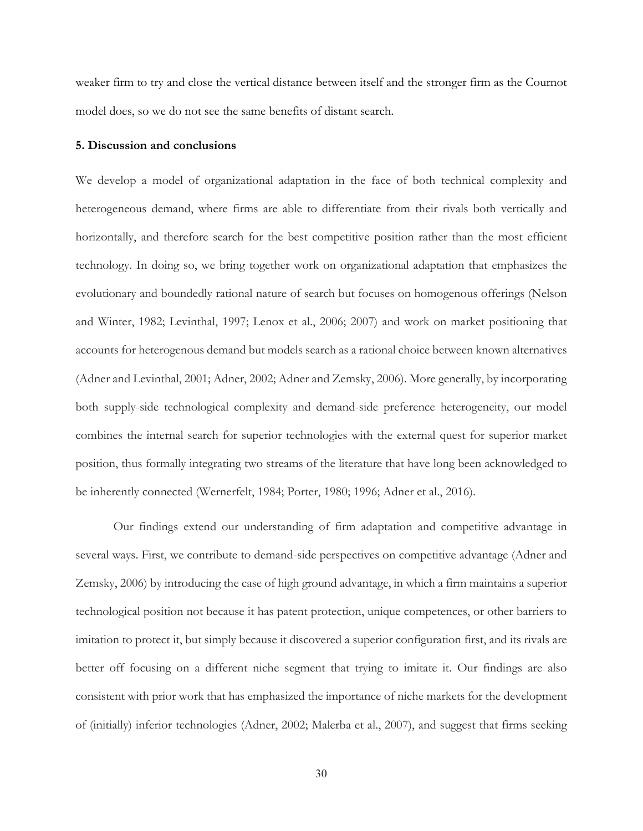weaker firm to try and close the vertical distance between itself and the stronger firm as the Cournot model does, so we do not see the same benefits of distant search.

#### **5. Discussion and conclusions**

We develop a model of organizational adaptation in the face of both technical complexity and heterogeneous demand, where firms are able to differentiate from their rivals both vertically and horizontally, and therefore search for the best competitive position rather than the most efficient technology. In doing so, we bring together work on organizational adaptation that emphasizes the evolutionary and boundedly rational nature of search but focuses on homogenous offerings (Nelson and Winter, 1982; Levinthal, 1997; Lenox et al., 2006; 2007) and work on market positioning that accounts for heterogenous demand but models search as a rational choice between known alternatives (Adner and Levinthal, 2001; Adner, 2002; Adner and Zemsky, 2006). More generally, by incorporating both supply-side technological complexity and demand-side preference heterogeneity, our model combines the internal search for superior technologies with the external quest for superior market position, thus formally integrating two streams of the literature that have long been acknowledged to be inherently connected (Wernerfelt, 1984; Porter, 1980; 1996; Adner et al., 2016).

Our findings extend our understanding of firm adaptation and competitive advantage in several ways. First, we contribute to demand-side perspectives on competitive advantage (Adner and Zemsky, 2006) by introducing the case of high ground advantage, in which a firm maintains a superior technological position not because it has patent protection, unique competences, or other barriers to imitation to protect it, but simply because it discovered a superior configuration first, and its rivals are better off focusing on a different niche segment that trying to imitate it. Our findings are also consistent with prior work that has emphasized the importance of niche markets for the development of (initially) inferior technologies (Adner, 2002; Malerba et al., 2007), and suggest that firms seeking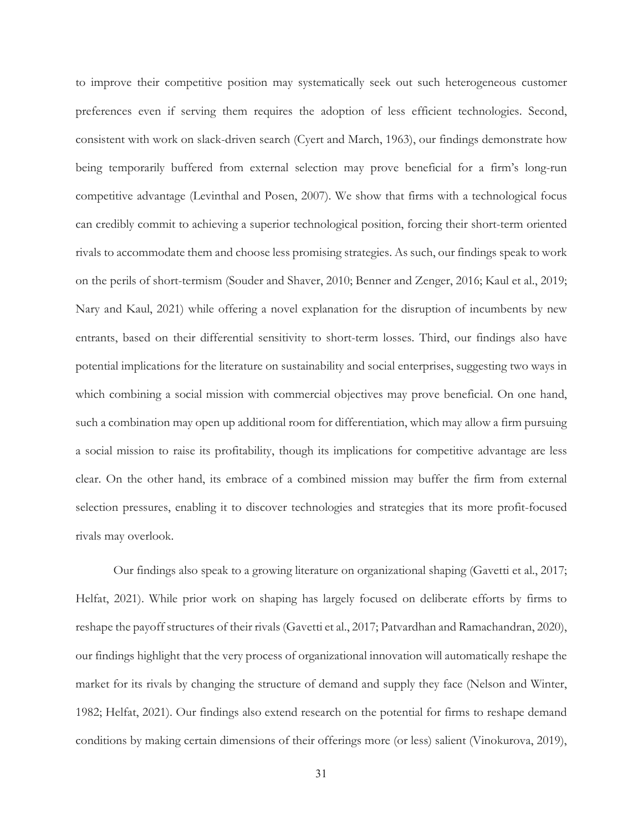to improve their competitive position may systematically seek out such heterogeneous customer preferences even if serving them requires the adoption of less efficient technologies. Second, consistent with work on slack-driven search (Cyert and March, 1963), our findings demonstrate how being temporarily buffered from external selection may prove beneficial for a firm's long-run competitive advantage (Levinthal and Posen, 2007). We show that firms with a technological focus can credibly commit to achieving a superior technological position, forcing their short-term oriented rivals to accommodate them and choose less promising strategies. As such, our findings speak to work on the perils of short-termism (Souder and Shaver, 2010; Benner and Zenger, 2016; Kaul et al., 2019; Nary and Kaul, 2021) while offering a novel explanation for the disruption of incumbents by new entrants, based on their differential sensitivity to short-term losses. Third, our findings also have potential implications for the literature on sustainability and social enterprises, suggesting two ways in which combining a social mission with commercial objectives may prove beneficial. On one hand, such a combination may open up additional room for differentiation, which may allow a firm pursuing a social mission to raise its profitability, though its implications for competitive advantage are less clear. On the other hand, its embrace of a combined mission may buffer the firm from external selection pressures, enabling it to discover technologies and strategies that its more profit-focused rivals may overlook.

Our findings also speak to a growing literature on organizational shaping (Gavetti et al., 2017; Helfat, 2021). While prior work on shaping has largely focused on deliberate efforts by firms to reshape the payoff structures of their rivals (Gavetti et al., 2017; Patvardhan and Ramachandran, 2020), our findings highlight that the very process of organizational innovation will automatically reshape the market for its rivals by changing the structure of demand and supply they face (Nelson and Winter, 1982; Helfat, 2021). Our findings also extend research on the potential for firms to reshape demand conditions by making certain dimensions of their offerings more (or less) salient (Vinokurova, 2019),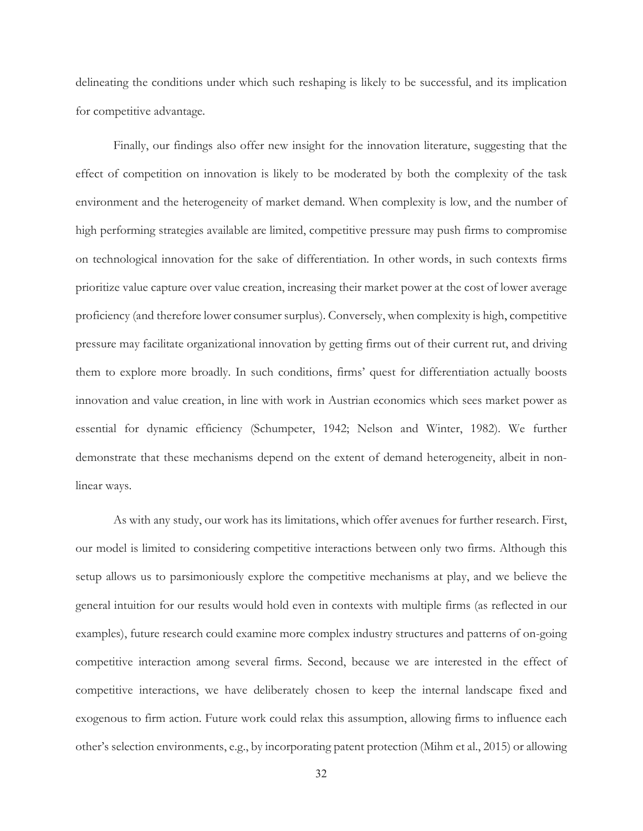delineating the conditions under which such reshaping is likely to be successful, and its implication for competitive advantage.

Finally, our findings also offer new insight for the innovation literature, suggesting that the effect of competition on innovation is likely to be moderated by both the complexity of the task environment and the heterogeneity of market demand. When complexity is low, and the number of high performing strategies available are limited, competitive pressure may push firms to compromise on technological innovation for the sake of differentiation. In other words, in such contexts firms prioritize value capture over value creation, increasing their market power at the cost of lower average proficiency (and therefore lower consumer surplus). Conversely, when complexity is high, competitive pressure may facilitate organizational innovation by getting firms out of their current rut, and driving them to explore more broadly. In such conditions, firms' quest for differentiation actually boosts innovation and value creation, in line with work in Austrian economics which sees market power as essential for dynamic efficiency (Schumpeter, 1942; Nelson and Winter, 1982). We further demonstrate that these mechanisms depend on the extent of demand heterogeneity, albeit in nonlinear ways.

As with any study, our work has its limitations, which offer avenues for further research. First, our model is limited to considering competitive interactions between only two firms. Although this setup allows us to parsimoniously explore the competitive mechanisms at play, and we believe the general intuition for our results would hold even in contexts with multiple firms (as reflected in our examples), future research could examine more complex industry structures and patterns of on-going competitive interaction among several firms. Second, because we are interested in the effect of competitive interactions, we have deliberately chosen to keep the internal landscape fixed and exogenous to firm action. Future work could relax this assumption, allowing firms to influence each other's selection environments, e.g., by incorporating patent protection (Mihm et al., 2015) or allowing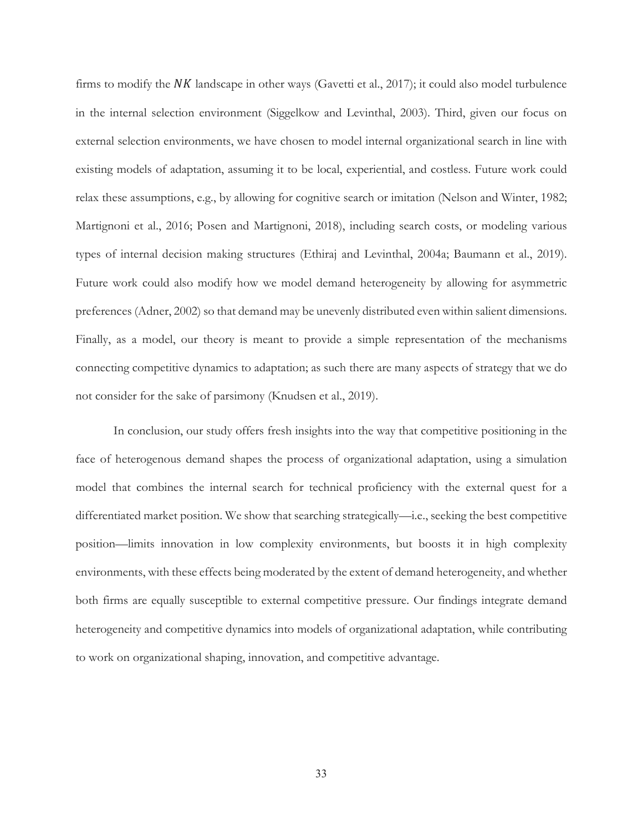firms to modify the  $NK$  landscape in other ways (Gavetti et al., 2017); it could also model turbulence in the internal selection environment (Siggelkow and Levinthal, 2003). Third, given our focus on external selection environments, we have chosen to model internal organizational search in line with existing models of adaptation, assuming it to be local, experiential, and costless. Future work could relax these assumptions, e.g., by allowing for cognitive search or imitation (Nelson and Winter, 1982; Martignoni et al., 2016; Posen and Martignoni, 2018), including search costs, or modeling various types of internal decision making structures (Ethiraj and Levinthal, 2004a; Baumann et al., 2019). Future work could also modify how we model demand heterogeneity by allowing for asymmetric preferences (Adner, 2002) so that demand may be unevenly distributed even within salient dimensions. Finally, as a model, our theory is meant to provide a simple representation of the mechanisms connecting competitive dynamics to adaptation; as such there are many aspects of strategy that we do not consider for the sake of parsimony (Knudsen et al., 2019).

In conclusion, our study offers fresh insights into the way that competitive positioning in the face of heterogenous demand shapes the process of organizational adaptation, using a simulation model that combines the internal search for technical proficiency with the external quest for a differentiated market position. We show that searching strategically—i.e., seeking the best competitive position—limits innovation in low complexity environments, but boosts it in high complexity environments, with these effects being moderated by the extent of demand heterogeneity, and whether both firms are equally susceptible to external competitive pressure. Our findings integrate demand heterogeneity and competitive dynamics into models of organizational adaptation, while contributing to work on organizational shaping, innovation, and competitive advantage.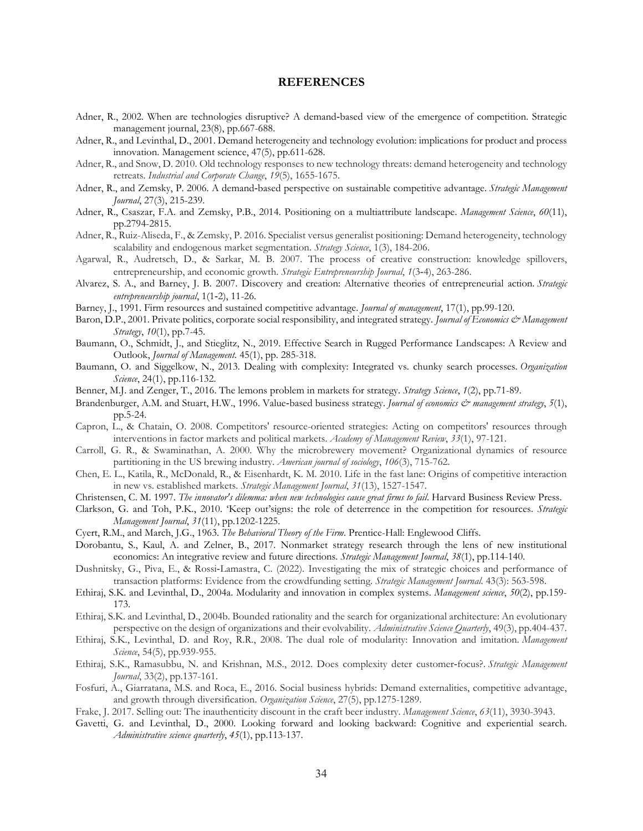#### **REFERENCES**

- Adner, R., 2002. When are technologies disruptive? A demand-based view of the emergence of competition. Strategic management journal, 23(8), pp.667-688.
- Adner, R., and Levinthal, D., 2001. Demand heterogeneity and technology evolution: implications for product and process innovation. Management science, 47(5), pp.611-628.
- Adner, R., and Snow, D. 2010. Old technology responses to new technology threats: demand heterogeneity and technology retreats. *Industrial and Corporate Change*, *19*(5), 1655-1675.
- Adner, R., and Zemsky, P. 2006. A demand‐based perspective on sustainable competitive advantage. *Strategic Management Journal*, 27(3), 215-239.
- Adner, R., Csaszar, F.A. and Zemsky, P.B., 2014. Positioning on a multiattribute landscape. *Management Science*, *60*(11), pp.2794-2815.
- Adner, R., Ruiz-Aliseda, F., & Zemsky, P. 2016. Specialist versus generalist positioning: Demand heterogeneity, technology scalability and endogenous market segmentation. *Strategy Science*, 1(3), 184-206.
- Agarwal, R., Audretsch, D., & Sarkar, M. B. 2007. The process of creative construction: knowledge spillovers, entrepreneurship, and economic growth. *Strategic Entrepreneurship Journal*, *1*(3‐4), 263-286.
- Alvarez, S. A., and Barney, J. B. 2007. Discovery and creation: Alternative theories of entrepreneurial action. *Strategic entrepreneurship journal*, 1(1‐2), 11-26.
- Barney, J., 1991. Firm resources and sustained competitive advantage. *Journal of management*, 17(1), pp.99-120.
- Baron, D.P., 2001. Private politics, corporate social responsibility, and integrated strategy. *Journal of Economics & Management Strategy*, *10*(1), pp.7-45.
- Baumann, O., Schmidt, J., and Stieglitz, N., 2019. Effective Search in Rugged Performance Landscapes: A Review and Outlook, *Journal of Management*. 45(1), pp. 285-318.
- Baumann, O. and Siggelkow, N., 2013. Dealing with complexity: Integrated vs. chunky search processes. *Organization Science*, 24(1), pp.116-132.
- Benner, M.J. and Zenger, T., 2016. The lemons problem in markets for strategy. *Strategy Science*, *1*(2), pp.71-89.
- Brandenburger, A.M. and Stuart, H.W., 1996. Value-based business strategy. *Journal of economics & management strategy*, 5(1), pp.5-24.
- Capron, L., & Chatain, O. 2008. Competitors' resource-oriented strategies: Acting on competitors' resources through interventions in factor markets and political markets. *Academy of Management Review*, *33*(1), 97-121.
- Carroll, G. R., & Swaminathan, A. 2000. Why the microbrewery movement? Organizational dynamics of resource partitioning in the US brewing industry. *American journal of sociology*, *106*(3), 715-762.
- Chen, E. L., Katila, R., McDonald, R., & Eisenhardt, K. M. 2010. Life in the fast lane: Origins of competitive interaction in new vs. established markets. *Strategic Management Journal*, *31*(13), 1527-1547.
- Christensen, C. M. 1997. *The innovator's dilemma: when new technologies cause great firms to fail*. Harvard Business Review Press.
- Clarkson, G. and Toh, P.K., 2010. 'Keep out'signs: the role of deterrence in the competition for resources. *Strategic Management Journal*, *31*(11), pp.1202-1225.
- Cyert, R.M., and March, J.G., 1963. *The Behavioral Theory of the Firm*. Prentice-Hall: Englewood Cliffs.
- Dorobantu, S., Kaul, A. and Zelner, B., 2017. Nonmarket strategy research through the lens of new institutional economics: An integrative review and future directions. *Strategic Management Journal*, *38*(1), pp.114-140.
- Dushnitsky, G., Piva, E., & Rossi‐Lamastra, C. (2022). Investigating the mix of strategic choices and performance of transaction platforms: Evidence from the crowdfunding setting. *Strategic Management Journal*. 43(3): 563-598.
- Ethiraj, S.K. and Levinthal, D., 2004a. Modularity and innovation in complex systems. *Management science*, *50*(2), pp.159- 173.
- Ethiraj, S.K. and Levinthal, D., 2004b. Bounded rationality and the search for organizational architecture: An evolutionary perspective on the design of organizations and their evolvability. *Administrative Science Quarterly*, 49(3), pp.404-437.
- Ethiraj, S.K., Levinthal, D. and Roy, R.R., 2008. The dual role of modularity: Innovation and imitation. *Management Science*, 54(5), pp.939-955.
- Ethiraj, S.K., Ramasubbu, N. and Krishnan, M.S., 2012. Does complexity deter customer‐focus?. *Strategic Management Journal*, 33(2), pp.137-161.
- Fosfuri, A., Giarratana, M.S. and Roca, E., 2016. Social business hybrids: Demand externalities, competitive advantage, and growth through diversification. *Organization Science*, 27(5), pp.1275-1289.
- Frake, J. 2017. Selling out: The inauthenticity discount in the craft beer industry. *Management Science*, *63*(11), 3930-3943.
- Gavetti, G. and Levinthal, D., 2000. Looking forward and looking backward: Cognitive and experiential search. *Administrative science quarterly*, *45*(1), pp.113-137.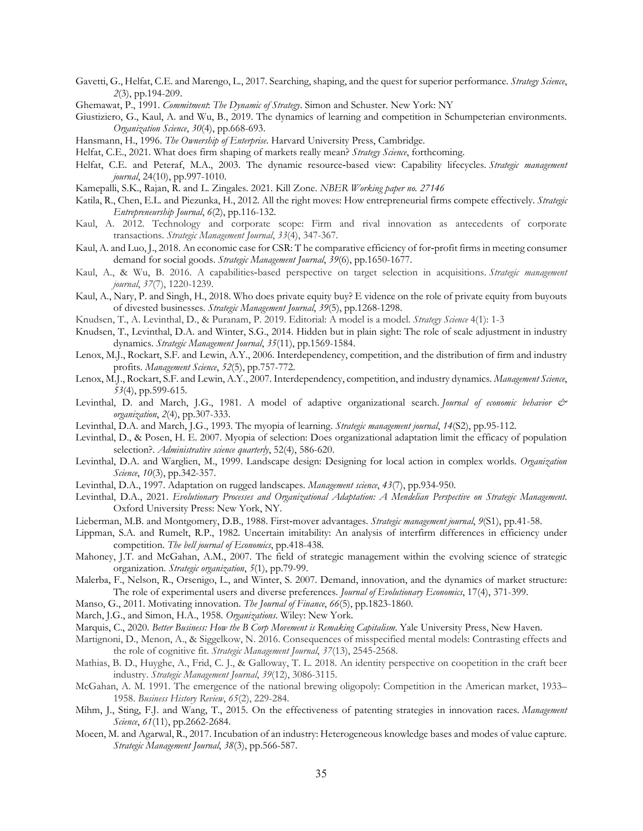- Gavetti, G., Helfat, C.E. and Marengo, L., 2017. Searching, shaping, and the quest for superior performance. *Strategy Science*, *2*(3), pp.194-209.
- Ghemawat, P., 1991. *Commitment*: *The Dynamic of Strategy*. Simon and Schuster. New York: NY
- Giustiziero, G., Kaul, A. and Wu, B., 2019. The dynamics of learning and competition in Schumpeterian environments. *Organization Science*, *30*(4), pp.668-693.
- Hansmann, H., 1996. *The Ownership of Enterprise*. Harvard University Press, Cambridge.
- Helfat, C.E., 2021. What does firm shaping of markets really mean? *Strategy Science*, forthcoming.
- Helfat, C.E. and Peteraf, M.A., 2003. The dynamic resource‐based view: Capability lifecycles. *Strategic management journal*, 24(10), pp.997-1010.
- Kamepalli, S.K., Rajan, R. and L. Zingales. 2021. Kill Zone. *NBER Working paper no. 27146*
- Katila, R., Chen, E.L. and Piezunka, H., 2012. All the right moves: How entrepreneurial firms compete effectively. *Strategic Entrepreneurship Journal*, *6*(2), pp.116-132.
- Kaul, A. 2012. Technology and corporate scope: Firm and rival innovation as antecedents of corporate transactions. *Strategic Management Journal*, *33*(4), 347-367.
- Kaul, A. and Luo, J., 2018. An economic case for CSR: T he comparative efficiency of for-profit firms in meeting consumer demand for social goods. *Strategic Management Journal*, *39*(6), pp.1650-1677.
- Kaul, A., & Wu, B. 2016. A capabilities‐based perspective on target selection in acquisitions. *Strategic management journal*, *37*(7), 1220-1239.
- Kaul, A., Nary, P. and Singh, H., 2018. Who does private equity buy? E vidence on the role of private equity from buyouts of divested businesses. *Strategic Management Journal*, *39*(5), pp.1268-1298.
- Knudsen, T., A. Levinthal, D., & Puranam, P. 2019. Editorial: A model is a model. *Strategy Science* 4(1): 1-3
- Knudsen, T., Levinthal, D.A. and Winter, S.G., 2014. Hidden but in plain sight: The role of scale adjustment in industry dynamics. *Strategic Management Journal*, *35*(11), pp.1569-1584.
- Lenox, M.J., Rockart, S.F. and Lewin, A.Y., 2006. Interdependency, competition, and the distribution of firm and industry profits. *Management Science*, *52*(5), pp.757-772.
- Lenox, M.J., Rockart, S.F. and Lewin, A.Y., 2007. Interdependency, competition, and industry dynamics. *Management Science*, *53*(4), pp.599-615.
- Levinthal, D. and March, J.G., 1981. A model of adaptive organizational search. *Journal of economic behavior & organization*, *2*(4), pp.307-333.
- Levinthal, D.A. and March, J.G., 1993. The myopia of learning. *Strategic management journal*, *14*(S2), pp.95-112.
- Levinthal, D., & Posen, H. E. 2007. Myopia of selection: Does organizational adaptation limit the efficacy of population selection?. *Administrative science quarterly*, 52(4), 586-620.
- Levinthal, D.A. and Warglien, M., 1999. Landscape design: Designing for local action in complex worlds. *Organization Science*, *10*(3), pp.342-357.
- Levinthal, D.A., 1997. Adaptation on rugged landscapes. *Management science*, *43*(7), pp.934-950.
- Levinthal, D.A., 2021. *Evolutionary Processes and Organizational Adaptation: A Mendelian Perspective on Strategic Management*. Oxford University Press: New York, NY.
- Lieberman, M.B. and Montgomery, D.B., 1988. First-mover advantages. *Strategic management journal*,  $9(51)$ , pp.41-58.
- Lippman, S.A. and Rumelt, R.P., 1982. Uncertain imitability: An analysis of interfirm differences in efficiency under competition. *The bell journal of Economics*, pp.418-438.
- Mahoney, J.T. and McGahan, A.M., 2007. The field of strategic management within the evolving science of strategic organization. *Strategic organization*, *5*(1), pp.79-99.
- Malerba, F., Nelson, R., Orsenigo, L., and Winter, S. 2007. Demand, innovation, and the dynamics of market structure: The role of experimental users and diverse preferences. *Journal of Evolutionary Economics*, 17(4), 371-399.
- Manso, G., 2011. Motivating innovation. *The Journal of Finance*, *66*(5), pp.1823-1860.
- March, J.G., and Simon, H.A., 1958. *Organizations*. Wiley: New York.
- Marquis, C., 2020. *Better Business: How the B Corp Movement is Remaking Capitalism*. Yale University Press, New Haven.
- Martignoni, D., Menon, A., & Siggelkow, N. 2016. Consequences of misspecified mental models: Contrasting effects and the role of cognitive fit. *Strategic Management Journal*, *37*(13), 2545-2568.
- Mathias, B. D., Huyghe, A., Frid, C. J., & Galloway, T. L. 2018. An identity perspective on coopetition in the craft beer industry. *Strategic Management Journal*, *39*(12), 3086-3115.
- McGahan, A. M. 1991. The emergence of the national brewing oligopoly: Competition in the American market, 1933– 1958. *Business History Review*, *65*(2), 229-284.
- Mihm, J., Sting, F.J. and Wang, T., 2015. On the effectiveness of patenting strategies in innovation races. *Management Science*, *61*(11), pp.2662-2684.
- Moeen, M. and Agarwal, R., 2017. Incubation of an industry: Heterogeneous knowledge bases and modes of value capture. *Strategic Management Journal*, *38*(3), pp.566-587.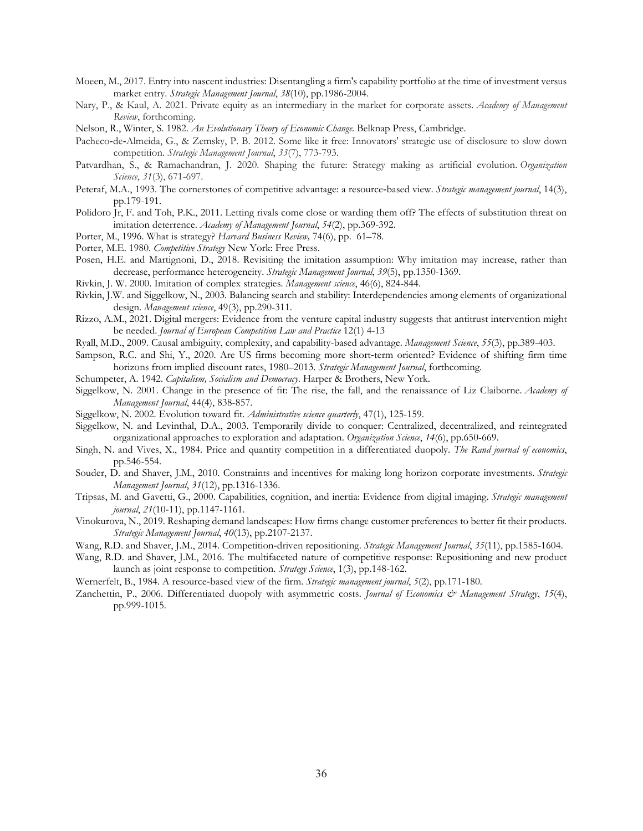- Moeen, M., 2017. Entry into nascent industries: Disentangling a firm's capability portfolio at the time of investment versus market entry. *Strategic Management Journal*, *38*(10), pp.1986-2004.
- Nary, P., & Kaul, A. 2021. Private equity as an intermediary in the market for corporate assets. *Academy of Management Review*, forthcoming.
- Nelson, R., Winter, S. 1982. *An Evolutionary Theory of Economic Change*. Belknap Press, Cambridge.
- Pacheco-de-Almeida, G., & Zemsky, P. B. 2012. Some like it free: Innovators' strategic use of disclosure to slow down competition. *Strategic Management Journal*, *33*(7), 773-793.
- Patvardhan, S., & Ramachandran, J. 2020. Shaping the future: Strategy making as artificial evolution. *Organization Science*, *31*(3), 671-697.
- Peteraf, M.A., 1993. The cornerstones of competitive advantage: a resource‐based view. *Strategic management journal*, 14(3), pp.179-191.
- Polidoro Jr, F. and Toh, P.K., 2011. Letting rivals come close or warding them off? The effects of substitution threat on imitation deterrence. *Academy of Management Journal*, *54*(2), pp.369-392.
- Porter, M., 1996. What is strategy? *Harvard Business Review,* 74(6), pp. 61–78.
- Porter, M.E. 1980. *Competitive Strategy* New York: Free Press.
- Posen, H.E. and Martignoni, D., 2018. Revisiting the imitation assumption: Why imitation may increase, rather than decrease, performance heterogeneity. *Strategic Management Journal*, *39*(5), pp.1350-1369.
- Rivkin, J. W. 2000. Imitation of complex strategies. *Management science*, 46(6), 824-844.
- Rivkin, J.W. and Siggelkow, N., 2003. Balancing search and stability: Interdependencies among elements of organizational design. *Management science*, 49(3), pp.290-311.
- Rizzo, A.M., 2021. Digital mergers: Evidence from the venture capital industry suggests that antitrust intervention might be needed. *Journal of European Competition Law and Practice* 12(1) 4-13
- Ryall, M.D., 2009. Causal ambiguity, complexity, and capability-based advantage. *Management Science*, *55*(3), pp.389-403.
- Sampson, R.C. and Shi, Y., 2020. Are US firms becoming more short-term oriented? Evidence of shifting firm time horizons from implied discount rates, 1980–2013. *Strategic Management Journal*, forthcoming.
- Schumpeter, A. 1942. *Capitalism, Socialism and Democracy*. Harper & Brothers, New York.
- Siggelkow, N. 2001. Change in the presence of fit: The rise, the fall, and the renaissance of Liz Claiborne. *Academy of Management Journal*, 44(4), 838-857.
- Siggelkow, N. 2002. Evolution toward fit. *Administrative science quarterly*, 47(1), 125-159.
- Siggelkow, N. and Levinthal, D.A., 2003. Temporarily divide to conquer: Centralized, decentralized, and reintegrated organizational approaches to exploration and adaptation. *Organization Science*, *14*(6), pp.650-669.
- Singh, N. and Vives, X., 1984. Price and quantity competition in a differentiated duopoly. *The Rand journal of economics*, pp.546-554.
- Souder, D. and Shaver, J.M., 2010. Constraints and incentives for making long horizon corporate investments. *Strategic Management Journal*, *31*(12), pp.1316-1336.
- Tripsas, M. and Gavetti, G., 2000. Capabilities, cognition, and inertia: Evidence from digital imaging. *Strategic management journal*, *21*(10‐11), pp.1147-1161.
- Vinokurova, N., 2019. Reshaping demand landscapes: How firms change customer preferences to better fit their products. *Strategic Management Journal*, *40*(13), pp.2107-2137.
- Wang, R.D. and Shaver, J.M., 2014. Competition-driven repositioning. *Strategic Management Journal*, 35(11), pp.1585-1604.
- Wang, R.D. and Shaver, J.M., 2016. The multifaceted nature of competitive response: Repositioning and new product launch as joint response to competition. *Strategy Science*, 1(3), pp.148-162.

Wernerfelt, B., 1984. A resource-based view of the firm. *Strategic management journal*, *5*(2), pp.171-180.

Zanchettin, P., 2006. Differentiated duopoly with asymmetric costs. *Journal of Economics & Management Strategy*, *15*(4), pp.999-1015.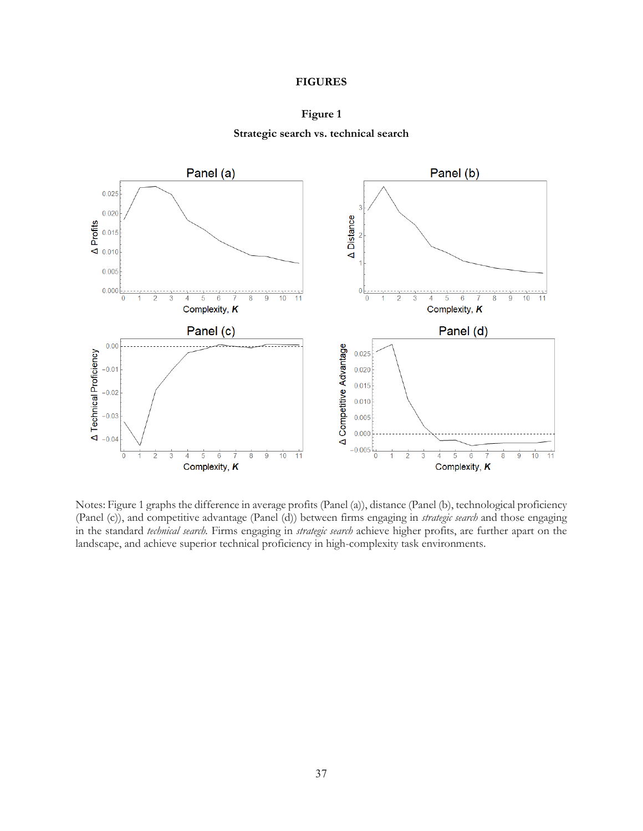## **FIGURES**



**Strategic search vs. technical search**



Notes: Figure 1 graphs the difference in average profits (Panel (a)), distance (Panel (b), technological proficiency (Panel (c)), and competitive advantage (Panel (d)) between firms engaging in *strategic search* and those engaging in the standard *technical search.* Firms engaging in *strategic search* achieve higher profits, are further apart on the landscape, and achieve superior technical proficiency in high-complexity task environments.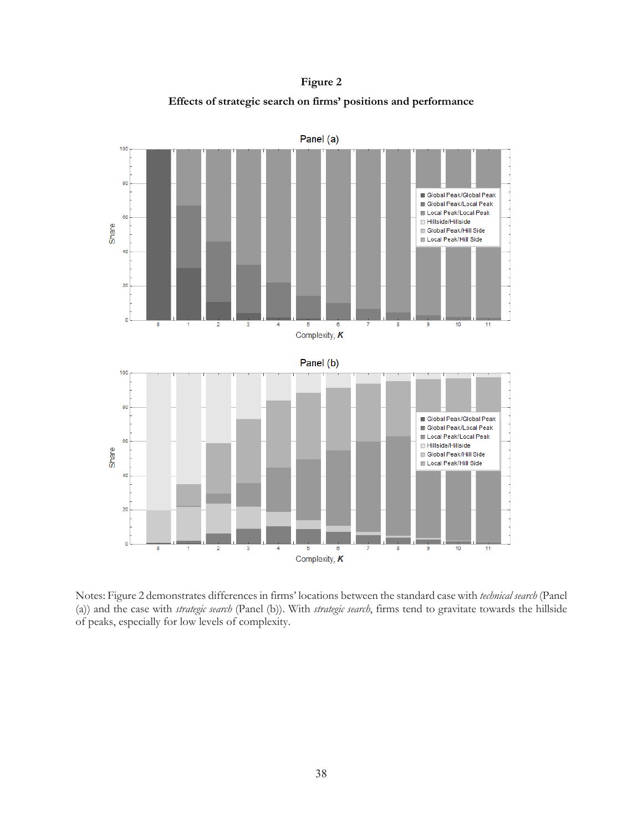**Figure 2 Effects of strategic search on firms' positions and performance**



Notes: Figure 2 demonstrates differences in firms' locations between the standard case with *technical search* (Panel (a)) and the case with *strategic search* (Panel (b)). With *strategic search*, firms tend to gravitate towards the hillside of peaks, especially for low levels of complexity.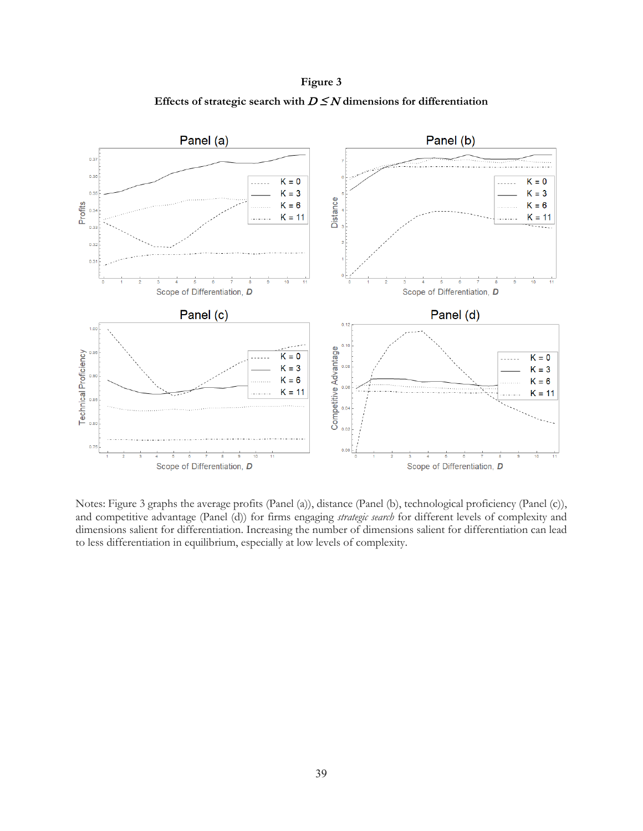**Figure 3** Effects of strategic search with  $D \leq N$  dimensions for differentiation



Notes: Figure 3 graphs the average profits (Panel (a)), distance (Panel (b), technological proficiency (Panel (c)), and competitive advantage (Panel (d)) for firms engaging *strategic search* for different levels of complexity and dimensions salient for differentiation. Increasing the number of dimensions salient for differentiation can lead to less differentiation in equilibrium, especially at low levels of complexity.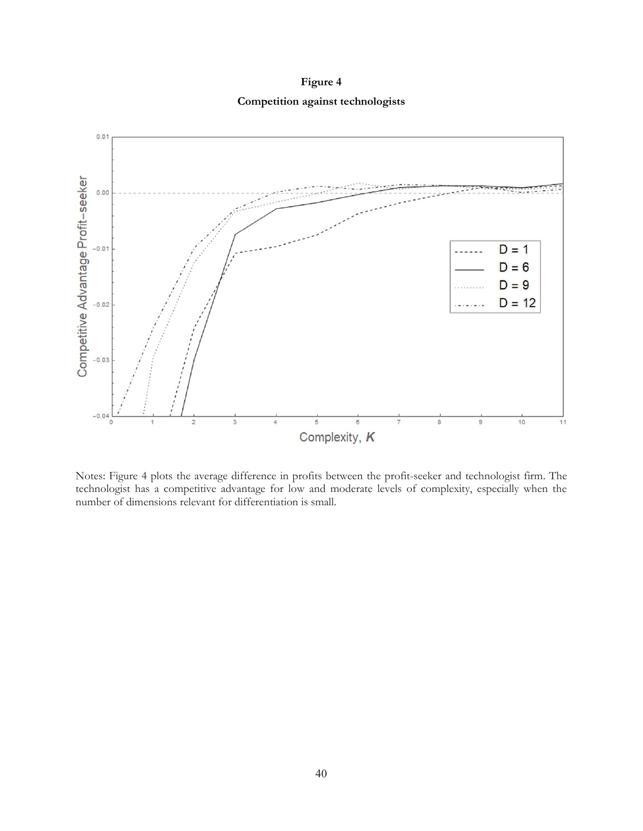**Figure 4 Competition against technologists**



Notes: Figure 4 plots the average difference in profits between the profit-seeker and technologist firm. The technologist has a competitive advantage for low and moderate levels of complexity, especially when the number of dimensions relevant for differentiation is small.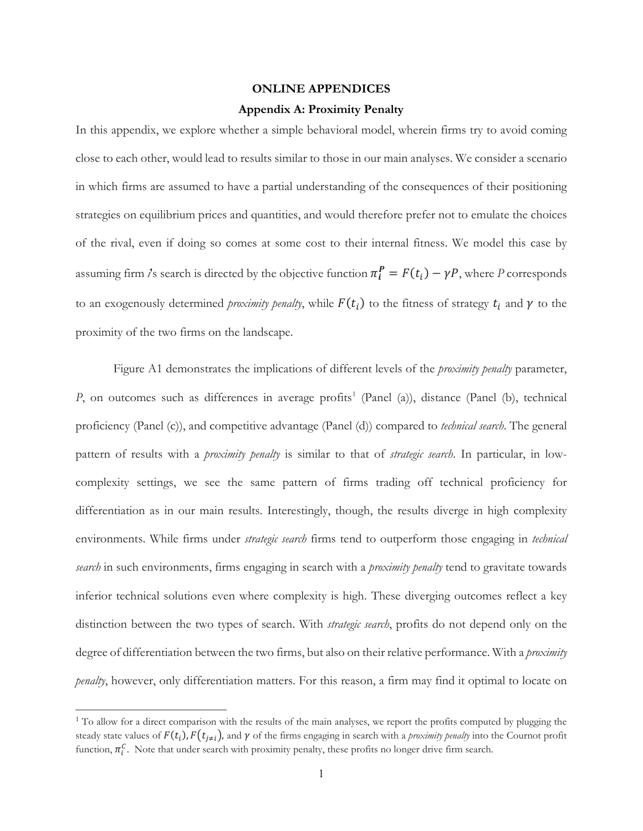#### **ONLINE APPENDICES**

## **Appendix A: Proximity Penalty**

In this appendix, we explore whether a simple behavioral model, wherein firms try to avoid coming close to each other, would lead to results similar to those in our main analyses. We consider a scenario in which firms are assumed to have a partial understanding of the consequences of their positioning strategies on equilibrium prices and quantities, and would therefore prefer not to emulate the choices of the rival, even if doing so comes at some cost to their internal fitness. We model this case by assuming firm *i*'s search is directed by the objective function  $\pi_i^P = F(t_i) - \gamma P$ , where *P* corresponds to an exogenously determined *proximity penalty*, while  $F(t_i)$  to the fitness of strategy  $t_i$  and  $\gamma$  to the proximity of the two firms on the landscape.

Figure A1 demonstrates the implications of different levels of the *proximity penalty* parameter, *P*, on outcomes such as differences in average profits<sup>[1](#page-41-0)</sup> (Panel (a)), distance (Panel (b), technical proficiency (Panel (c)), and competitive advantage (Panel (d)) compared to *technical search*. The general pattern of results with a *proximity penalty* is similar to that of *strategic search*. In particular, in lowcomplexity settings, we see the same pattern of firms trading off technical proficiency for differentiation as in our main results. Interestingly, though, the results diverge in high complexity environments. While firms under *strategic search* firms tend to outperform those engaging in *technical search* in such environments, firms engaging in search with a *proximity penalty* tend to gravitate towards inferior technical solutions even where complexity is high. These diverging outcomes reflect a key distinction between the two types of search. With *strategic search*, profits do not depend only on the degree of differentiation between the two firms, but also on their relative performance. With a *proximity penalty*, however, only differentiation matters. For this reason, a firm may find it optimal to locate on

<span id="page-41-0"></span><sup>&</sup>lt;sup>1</sup> To allow for a direct comparison with the results of the main analyses, we report the profits computed by plugging the steady state values of  $F(t_i)$ ,  $F(t_{i\neq i})$ , and  $\gamma$  of the firms engaging in search with a *proximity penalty* into the Cournot profit function,  $\pi_i^C$ . Note that under search with proximity penalty, these profits no longer drive firm search.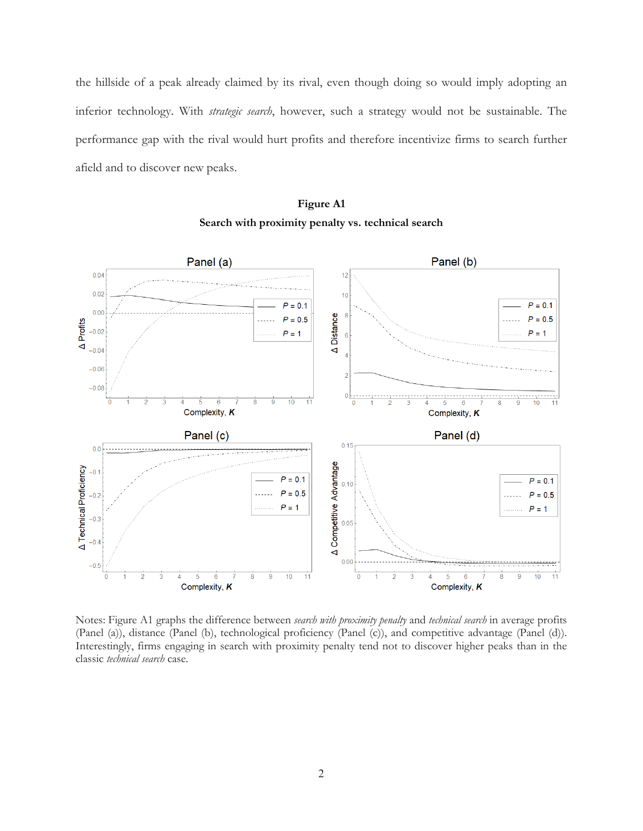the hillside of a peak already claimed by its rival, even though doing so would imply adopting an inferior technology. With *strategic search*, however, such a strategy would not be sustainable. The performance gap with the rival would hurt profits and therefore incentivize firms to search further afield and to discover new peaks.



## **Search with proximity penalty vs. technical search**

**Figure A1**

Notes: Figure A1 graphs the difference between *search with proximity penalty* and *technical search* in average profits (Panel (a)), distance (Panel (b), technological proficiency (Panel (c)), and competitive advantage (Panel (d)). Interestingly, firms engaging in search with proximity penalty tend not to discover higher peaks than in the classic *technical search* case.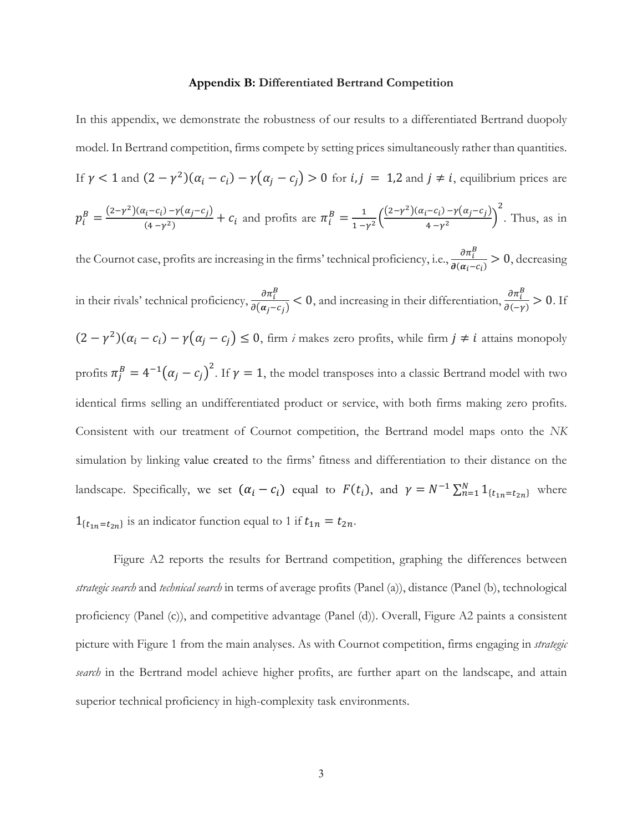#### **Appendix B: Differentiated Bertrand Competition**

In this appendix, we demonstrate the robustness of our results to a differentiated Bertrand duopoly model. In Bertrand competition, firms compete by setting prices simultaneously rather than quantities. If  $\gamma < 1$  and  $(2 - \gamma^2)(\alpha_i - c_i) - \gamma(\alpha_j - c_j) > 0$  for  $i, j = 1, 2$  and  $j \neq i$ , equilibrium prices are  $p_i^B = \frac{(2-\gamma^2)(\alpha_i-c_i)-\gamma(\alpha_j-c_j)}{(4-\gamma^2)} + c_i$  and profits are  $\pi_i^B = \frac{1}{1-\gamma^2}$  $\frac{(2-\gamma^2)(\alpha_i-c_i)-\gamma(\alpha_j-c_j)}{(\alpha_i-c_i)}$  $\frac{(\mu + \gamma)^2}{4 - \gamma^2}$ 2 . Thus, as in the Cournot case, profits are increasing in the firms' technical proficiency, i.e.,  $\frac{\partial \pi_i^B}{\partial (\alpha_i - c_i)} > 0$ , decreasing in their rivals' technical proficiency,  $\frac{\partial \pi_i^B}{\partial (\alpha_j - c_j)} < 0$ , and increasing in their differentiation,  $\frac{\partial \pi_i^B}{\partial (-\gamma)} > 0$ . If  $(2 - \gamma^2)(\alpha_i - c_i) - \gamma(\alpha_j - c_j) \le 0$ , firm *i* makes zero profits, while firm  $j \ne i$  attains monopoly profits  $\pi_j^B = 4^{-1}(\alpha_j - c_j)^2$ . If  $\gamma = 1$ , the model transposes into a classic Bertrand model with two identical firms selling an undifferentiated product or service, with both firms making zero profits. Consistent with our treatment of Cournot competition, the Bertrand model maps onto the *NK*  simulation by linking value created to the firms' fitness and differentiation to their distance on the landscape. Specifically, we set  $(\alpha_i - c_i)$  equal to  $F(t_i)$ , and  $\gamma = N^{-1} \sum_{n=1}^{N} 1_{\{t_{1n} = t_{2n}\}}$  where  $1_{\{t_{1n}=t_{2n}\}}$  is an indicator function equal to 1 if  $t_{1n} = t_{2n}$ .

Figure A2 reports the results for Bertrand competition, graphing the differences between *strategic search* and *technical search* in terms of average profits (Panel (a)), distance (Panel (b), technological proficiency (Panel (c)), and competitive advantage (Panel (d)). Overall, Figure A2 paints a consistent picture with Figure 1 from the main analyses. As with Cournot competition, firms engaging in *strategic search* in the Bertrand model achieve higher profits, are further apart on the landscape, and attain superior technical proficiency in high-complexity task environments.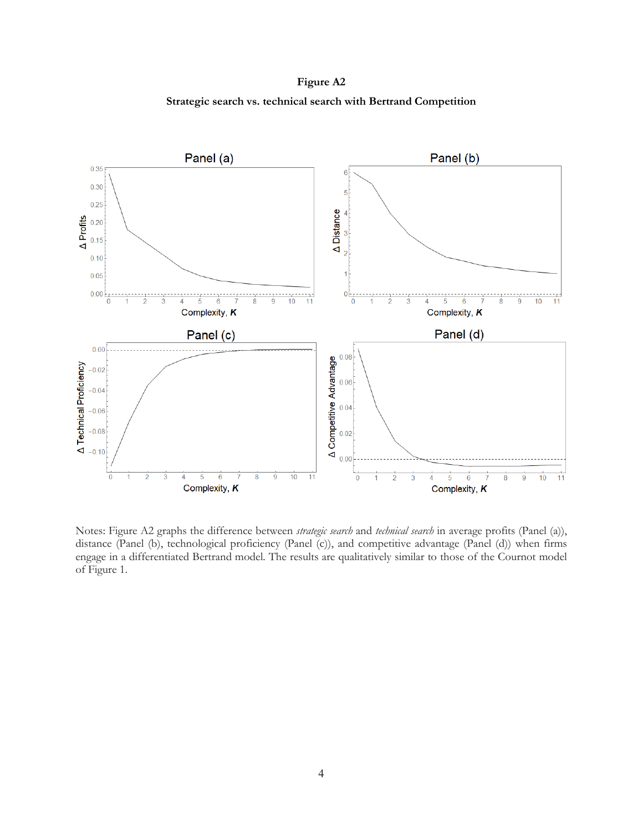**Figure A2 Strategic search vs. technical search with Bertrand Competition**



Notes: Figure A2 graphs the difference between *strategic search* and *technical search* in average profits (Panel (a)), distance (Panel (b), technological proficiency (Panel (c)), and competitive advantage (Panel (d)) when firms engage in a differentiated Bertrand model*.* The results are qualitatively similar to those of the Cournot model of Figure 1.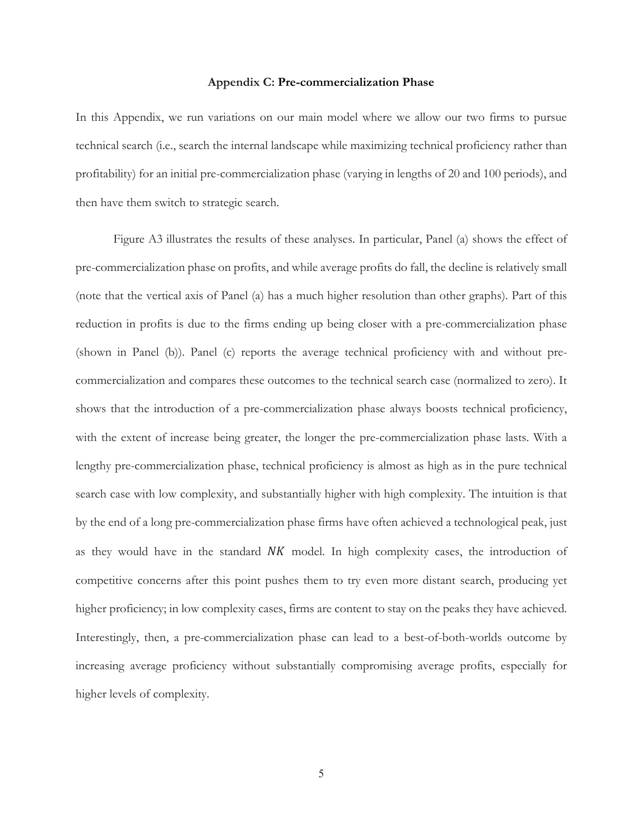#### **Appendix C: Pre-commercialization Phase**

In this Appendix, we run variations on our main model where we allow our two firms to pursue technical search (i.e., search the internal landscape while maximizing technical proficiency rather than profitability) for an initial pre-commercialization phase (varying in lengths of 20 and 100 periods), and then have them switch to strategic search.

Figure A3 illustrates the results of these analyses. In particular, Panel (a) shows the effect of pre-commercialization phase on profits, and while average profits do fall, the decline is relatively small (note that the vertical axis of Panel (a) has a much higher resolution than other graphs). Part of this reduction in profits is due to the firms ending up being closer with a pre-commercialization phase (shown in Panel (b)). Panel (c) reports the average technical proficiency with and without precommercialization and compares these outcomes to the technical search case (normalized to zero). It shows that the introduction of a pre-commercialization phase always boosts technical proficiency, with the extent of increase being greater, the longer the pre-commercialization phase lasts. With a lengthy pre-commercialization phase, technical proficiency is almost as high as in the pure technical search case with low complexity, and substantially higher with high complexity. The intuition is that by the end of a long pre-commercialization phase firms have often achieved a technological peak, just as they would have in the standard  $NK$  model. In high complexity cases, the introduction of competitive concerns after this point pushes them to try even more distant search, producing yet higher proficiency; in low complexity cases, firms are content to stay on the peaks they have achieved. Interestingly, then, a pre-commercialization phase can lead to a best-of-both-worlds outcome by increasing average proficiency without substantially compromising average profits, especially for higher levels of complexity.